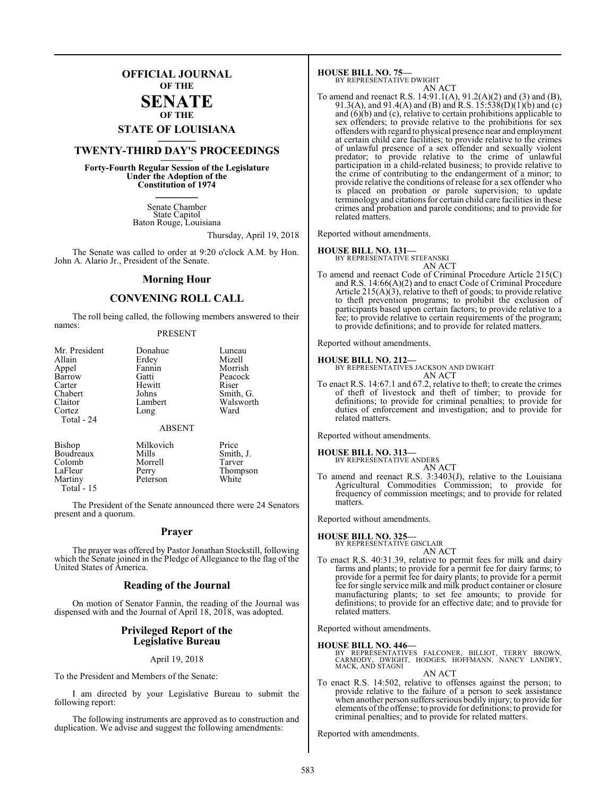### **OFFICIAL JOURNAL OF THE**

### **SENATE OF THE**

# **STATE OF LOUISIANA \_\_\_\_\_\_\_**

### **TWENTY-THIRD DAY'S PROCEEDINGS \_\_\_\_\_\_\_**

**Forty-Fourth Regular Session of the Legislature Under the Adoption of the Constitution of 1974 \_\_\_\_\_\_\_**

> Senate Chamber State Capitol Baton Rouge, Louisiana

> > Thursday, April 19, 2018

The Senate was called to order at 9:20 o'clock A.M. by Hon. John A. Alario Jr., President of the Senate.

### **Morning Hour**

### **CONVENING ROLL CALL**

The roll being called, the following members answered to their names:

### PRESENT

| Mr. President        | Donahue               | Luneau    |
|----------------------|-----------------------|-----------|
| Allain               | Erdey                 | Mizell    |
| Appel                | Fannin                | Morrish   |
| Barrow               | Gatti                 | Peacock   |
| Carter               | Hewitt                | Riser     |
| Chabert              | Johns                 | Smith, G. |
| Claitor              | Lambert               | Walsworth |
| Cortez<br>Total - 24 | Long<br><b>ABSENT</b> | Ward      |
| Bishop               | Milkovich             | Price     |
| Boudreaux            | Mills                 | Smith, J. |

| Colomb      | Morrell  | Tarver   |
|-------------|----------|----------|
| LaFleur     | Perry    | Thompson |
| Martiny     | Peterson | White    |
| Total $-15$ |          |          |
|             |          |          |

The President of the Senate announced there were 24 Senators present and a quorum.

### **Prayer**

The prayer was offered by Pastor Jonathan Stockstill, following which the Senate joined in the Pledge of Allegiance to the flag of the United States of America.

### **Reading of the Journal**

On motion of Senator Fannin, the reading of the Journal was dispensed with and the Journal of April 18, 2018, was adopted.

### **Privileged Report of the Legislative Bureau**

### April 19, 2018

To the President and Members of the Senate:

I am directed by your Legislative Bureau to submit the following report:

The following instruments are approved as to construction and duplication. We advise and suggest the following amendments:

**HOUSE BILL NO. 75—** BY REPRESENTATIVE DWIGHT

AN ACT

To amend and reenact R.S. 14:91.1(A), 91.2(A)(2) and (3) and (B), 91.3(A), and 91.4(A) and (B) and R.S. 15:538(D)(1)(b) and (c) and (6)(b) and (c), relative to certain prohibitions applicable to sex offenders; to provide relative to the prohibitions for sex offenders with regard to physical presence near and employment at certain child care facilities; to provide relative to the crimes of unlawful presence of a sex offender and sexually violent predator; to provide relative to the crime of unlawful participation in a child-related business; to provide relative to the crime of contributing to the endangerment of a minor; to provide relative the conditions of release for a sex offender who is placed on probation or parole supervision; to update terminology and citations for certain child care facilities in these crimes and probation and parole conditions; and to provide for related matters.

Reported without amendments.

#### **HOUSE BILL NO. 131—**

BY REPRESENTATIVE STEFANSKI AN ACT

To amend and reenact Code of Criminal Procedure Article 215(C) and R.S. 14:66(A)(2) and to enact Code of Criminal Procedure Article  $215(A)(3)$ , relative to theft of goods; to provide relative to theft prevention programs; to prohibit the exclusion of participants based upon certain factors; to provide relative to a fee; to provide relative to certain requirements of the program; to provide definitions; and to provide for related matters.

Reported without amendments.

### **HOUSE BILL NO. 212—**

BY REPRESENTATIVES JACKSON AND DWIGHT AN ACT

To enact R.S. 14:67.1 and 67.2, relative to theft; to create the crimes of theft of livestock and theft of timber; to provide for definitions; to provide for criminal penalties; to provide for duties of enforcement and investigation; and to provide for related matters.

Reported without amendments.

### **HOUSE BILL NO. 313—** BY REPRESENTATIVE ANDERS

AN ACT To amend and reenact R.S. 3:3403(J), relative to the Louisiana Agricultural Commodities Commission; to provide for frequency of commission meetings; and to provide for related matters.

Reported without amendments.

### **HOUSE BILL NO. 325—**

BY REPRESENTATIVE GISCLAIR

- AN ACT
- To enact R.S. 40:31.39, relative to permit fees for milk and dairy farms and plants; to provide for a permit fee for dairy farms; to provide for a permit fee for dairy plants; to provide for a permit fee for single service milk and milk product container or closure manufacturing plants; to set fee amounts; to provide for definitions; to provide for an effective date; and to provide for related matters.

Reported without amendments.

### **HOUSE BILL NO. 446—**

BY REPRESENTATIVES FALCONER, BILLIOT, TERRY BROWN,<br>CARMODY, DWIGHT, HODGES, HOFFMANN, NANCY LANDRY,<br>MACK,AND STAGNI AN ACT

To enact R.S. 14:502, relative to offenses against the person; to provide relative to the failure of a person to seek assistance when another person suffers serious bodily injury; to provide for elements ofthe offense; to provide for definitions; to provide for criminal penalties; and to provide for related matters.

Reported with amendments.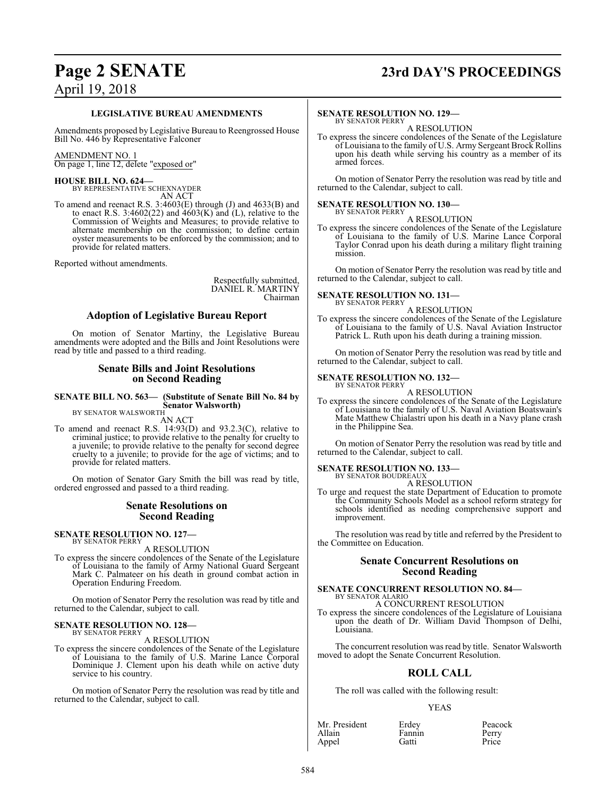## **Page 2 SENATE 23rd DAY'S PROCEEDINGS**

### **LEGISLATIVE BUREAU AMENDMENTS**

Amendments proposed by Legislative Bureau to Reengrossed House Bill No. 446 by Representative Falconer

### AMENDMENT NO. 1

On page 1, line 12, delete "exposed or"

# **HOUSE BILL NO. 624—**<br>BY REPRESENTATIVE SCHEXNAYDER

AN ACT

To amend and reenact R.S. 3:4603(E) through (J) and 4633(B) and to enact R.S. 3:4602(22) and  $4603(K)$  and (L), relative to the Commission of Weights and Measures; to provide relative to alternate membership on the commission; to define certain oyster measurements to be enforced by the commission; and to provide for related matters.

Reported without amendments.

Respectfully submitted, DANIEL R. MARTINY Chairman

### **Adoption of Legislative Bureau Report**

On motion of Senator Martiny, the Legislative Bureau amendments were adopted and the Bills and Joint Resolutions were read by title and passed to a third reading.

### **Senate Bills and Joint Resolutions on Second Reading**

**SENATE BILL NO. 563— (Substitute of Senate Bill No. 84 by Senator Walsworth)** BY SENATOR WALSWORTH

AN ACT

To amend and reenact R.S. 14:93(D) and 93.2.3(C), relative to criminal justice; to provide relative to the penalty for cruelty to a juvenile; to provide relative to the penalty for second degree cruelty to a juvenile; to provide for the age of victims; and to provide for related matters.

On motion of Senator Gary Smith the bill was read by title, ordered engrossed and passed to a third reading.

### **Senate Resolutions on Second Reading**

### **SENATE RESOLUTION NO. 127—** BY SENATOR PERRY

A RESOLUTION

To express the sincere condolences of the Senate of the Legislature of Louisiana to the family of Army National Guard Sergeant Mark C. Palmateer on his death in ground combat action in Operation Enduring Freedom.

On motion of Senator Perry the resolution was read by title and returned to the Calendar, subject to call.

### **SENATE RESOLUTION NO. 128-BY SENATOR PERRY**

A RESOLUTION

To express the sincere condolences of the Senate of the Legislature of Louisiana to the family of U.S. Marine Lance Corporal Dominique J. Clement upon his death while on active duty service to his country.

On motion of Senator Perry the resolution was read by title and returned to the Calendar, subject to call.

### **SENATE RESOLUTION NO. 129—** BY SENATOR PERRY

A RESOLUTION

To express the sincere condolences of the Senate of the Legislature of Louisiana to the family of U.S. Army Sergeant Brock Rollins upon his death while serving his country as a member of its armed forces.

On motion of Senator Perry the resolution was read by title and returned to the Calendar, subject to call.

## **SENATE RESOLUTION NO. 130-**<br>BY SENATOR PERRY

A RESOLUTION

To express the sincere condolences of the Senate of the Legislature of Louisiana to the family of U.S. Marine Lance Corporal Taylor Conrad upon his death during a military flight training mission.

On motion of Senator Perry the resolution was read by title and returned to the Calendar, subject to call.

### **SENATE RESOLUTION NO. 131-BY SENATOR PERRY**

A RESOLUTION

To express the sincere condolences of the Senate of the Legislature of Louisiana to the family of U.S. Naval Aviation Instructor Patrick L. Ruth upon his death during a training mission.

On motion of Senator Perry the resolution was read by title and returned to the Calendar, subject to call.

### **SENATE RESOLUTION NO. 132-**<br>BY SENATOR PERRY

A RESOLUTION

To express the sincere condolences of the Senate of the Legislature of Louisiana to the family of U.S. Naval Aviation Boatswain's Mate Matthew Chialastri upon his death in a Navy plane crash in the Philippine Sea.

On motion of Senator Perry the resolution was read by title and returned to the Calendar, subject to call.

**SENATE RESOLUTION NO. 133-**<br>BY SENATOR BOUDREAUX

A RESOLUTION

To urge and request the state Department of Education to promote the Community Schools Model as a school reform strategy for schools identified as needing comprehensive support and improvement.

The resolution was read by title and referred by the President to the Committee on Education.

### **Senate Concurrent Resolutions on Second Reading**

### **SENATE CONCURRENT RESOLUTION NO. 84-**BY SENATOR ALARIO A CONCURRENT RESOLUTION

To express the sincere condolences of the Legislature of Louisiana upon the death of Dr. William David Thompson of Delhi, Louisiana.

The concurrent resolution was read by title. Senator Walsworth moved to adopt the Senate Concurrent Resolution.

### **ROLL CALL**

The roll was called with the following result:

### YEAS

| Mr. President | Erdey  | Peacock |
|---------------|--------|---------|
| Allain        | Fannin | Perry   |
| Appel         | Gatti  | Price   |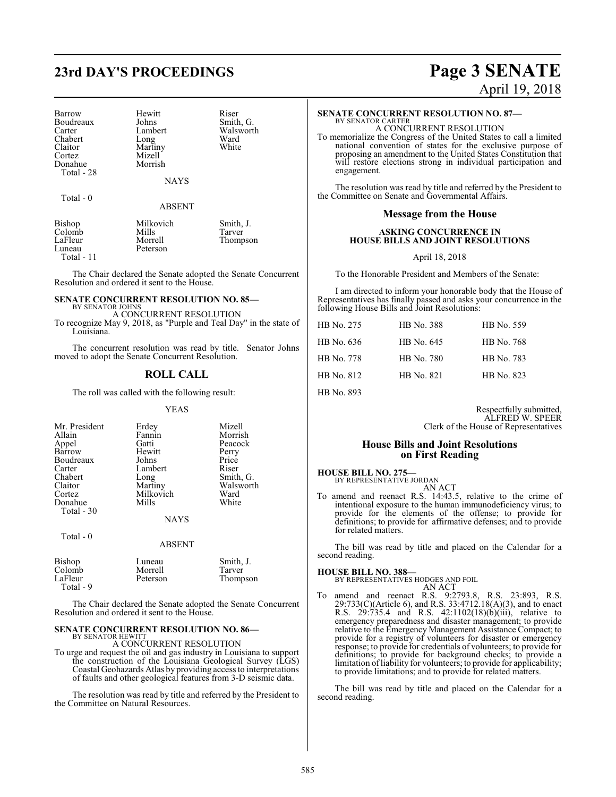# **23rd DAY'S PROCEEDINGS Page 3 SENATE**

Barrow Hewitt Riser<br>Boudreaux Johns Smith, G. Boudreaux Johns<br>
Carter Lambert Carter Lambert Walsworth<br>
Chabert Long Ward Chabert Long Ward<br>Claitor Martiny White Claitor Martiny<br>Cortez Mizell Donahue Total - 28

Mizell<br>Morrish

**NAYS** 

#### Total - 0

ABSENT

| Bishop      | Milkovich | Smith, J. |
|-------------|-----------|-----------|
| Colomb      | Mills     | Tarver    |
| LaFleur     | Morrell   | Thompson  |
| Luneau      | Peterson  |           |
| Total $-11$ |           |           |

The Chair declared the Senate adopted the Senate Concurrent Resolution and ordered it sent to the House.

### **SENATE CONCURRENT RESOLUTION NO. 85—** BY SENATOR JOHNS

A CONCURRENT RESOLUTION

To recognize May 9, 2018, as "Purple and Teal Day" in the state of Louisiana.

The concurrent resolution was read by title. Senator Johns moved to adopt the Senate Concurrent Resolution.

### **ROLL CALL**

The roll was called with the following result:

#### YEAS

| Mr. President<br>Allain<br>Appel | Erdey<br>Fannin<br>Gatti | Mizell<br>Morrish<br>Peacock |
|----------------------------------|--------------------------|------------------------------|
| Barrow                           | Hewitt                   | Perry                        |
| Boudreaux                        | Johns                    | Price                        |
| Carter                           | Lambert                  | Riser                        |
| Chabert                          | Long                     | Smith, G.                    |
| Claitor                          | Martiny                  | Walsworth                    |
| Cortez                           | Milkovich                | Ward                         |
| Donahue<br>Total - 30            | Mills                    | White                        |
|                                  | <b>NAYS</b>              |                              |
| Total $-0$                       |                          |                              |
|                                  | <b>ABSENT</b>            |                              |
| <b>Bishop</b>                    | Luneau                   | Smith, J.                    |

The Chair declared the Senate adopted the Senate Concurrent Resolution and ordered it sent to the House.

Thompson

### **SENATE CONCURRENT RESOLUTION NO. 86-**

Colomb Morrell Tarver<br>
LaFleur Peterson Thomp

Total - 9

BY SENATOR HEWITT

To urge and request the oil and gas industry in Louisiana to support the construction of the Louisiana Geological Survey (LGS) Coastal Geohazards Atlas by providing access to interpretations of faults and other geological features from 3-D seismic data.

The resolution was read by title and referred by the President to the Committee on Natural Resources.

# April 19, 2018

# **SENATE CONCURRENT RESOLUTION NO. 87-BY SENATOR CARTER**

A CONCURRENT RESOLUTION

To memorialize the Congress of the United States to call a limited national convention of states for the exclusive purpose of proposing an amendment to the United States Constitution that will restore elections strong in individual participation and engagement.

The resolution was read by title and referred by the President to the Committee on Senate and Governmental Affairs.

### **Message from the House**

### **ASKING CONCURRENCE IN HOUSE BILLS AND JOINT RESOLUTIONS**

#### April 18, 2018

To the Honorable President and Members of the Senate:

I am directed to inform your honorable body that the House of Representatives has finally passed and asks your concurrence in the following House Bills and Joint Resolutions:

| HB No. 275 | HB No. 388 | HB No. 559 |
|------------|------------|------------|
| HB No. 636 | HB No. 645 | HB No. 768 |
| HB No. 778 | HB No. 780 | HB No. 783 |
| HB No. 812 | HB No. 821 | HB No. 823 |
|            |            |            |

HB No. 893

Respectfully submitted, ALFRED W. SPEER Clerk of the House of Representatives

### **House Bills and Joint Resolutions on First Reading**

### **HOUSE BILL NO. 275—**<br>BY REPRESENTATIVE JORDAN

AN ACT

To amend and reenact R.S. 14:43.5, relative to the crime of intentional exposure to the human immunodeficiency virus; to provide for the elements of the offense; to provide for definitions; to provide for affirmative defenses; and to provide for related matters.

The bill was read by title and placed on the Calendar for a second reading.

**HOUSE BILL NO. 388—**<br>BY REPRESENTATIVES HODGES AND FOIL AN ACT

To amend and reenact R.S. 9:2793.8, R.S. 23:893, R.S. 29:733(C)(Article 6), and R.S. 33:4712.18(A)(3), and to enact R.S. 29:735.4 and R.S. 42:1102(18)(b)(iii), relative to emergency preparedness and disaster management; to provide relative to the Emergency Management Assistance Compact; to provide for a registry of volunteers for disaster or emergency response; to provide for credentials of volunteers; to provide for definitions; to provide for background checks; to provide a limitation ofliability for volunteers; to provide for applicability; to provide limitations; and to provide for related matters.

The bill was read by title and placed on the Calendar for a second reading.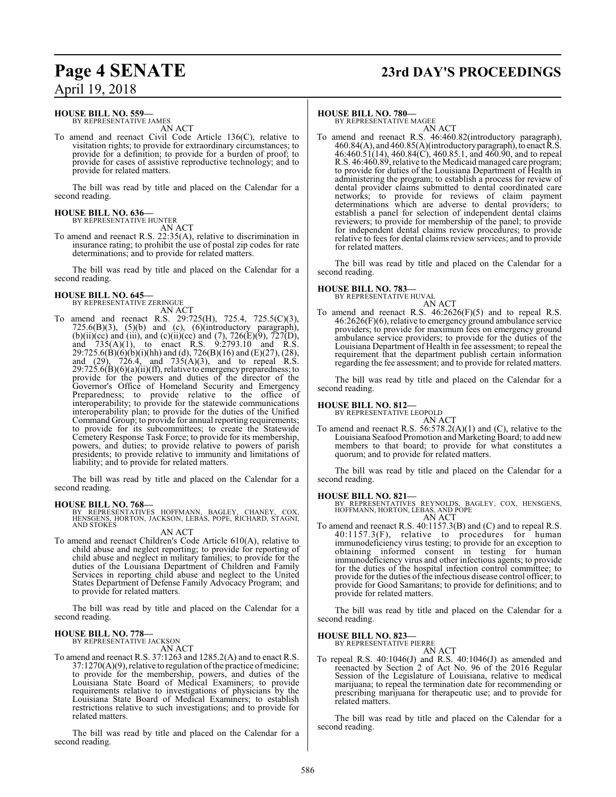# **Page 4 SENATE 23rd DAY'S PROCEEDINGS**

## April 19, 2018

### **HOUSE BILL NO. 559—**<br>BY REPRESENTATIVE JAMES

AN ACT

To amend and reenact Civil Code Article 136(C), relative to visitation rights; to provide for extraordinary circumstances; to provide for a definition; to provide for a burden of proof; to provide for cases of assistive reproductive technology; and to provide for related matters.

The bill was read by title and placed on the Calendar for a second reading.

### **HOUSE BILL NO. 636-**<br>BY REPRESENTATIVE HUNTER

AN ACT

To amend and reenact R.S. 22:35(A), relative to discrimination in insurance rating; to prohibit the use of postal zip codes for rate determinations; and to provide for related matters.

The bill was read by title and placed on the Calendar for a second reading.

### **HOUSE BILL NO. 645—**<br>BY REPRESENTATIVE ZERINGUE

AN ACT

To amend and reenact R.S. 29:725(H), 725.4, 725.5(C)(3),  $725.6(B)(3)$ ,  $(5)(b)$  and  $(c)$ ,  $(6)(introductory$  paragraph), (b)(ii)(cc) and (iii), and (c)(ii)(cc) and (7), 726(E)(9), 727(D), and  $735(A)(1)$ , to enact R.S.  $9:2793.10$  and R.S. 29:725.6(B)(6)(b)(i)(hh) and (d), 726(B)(16) and (E)(27), (28), and (29), 726.4, and 735(A)(3), and to repeal R.S.  $29:725.6(B)(6)(a)(ii)(ff)$ , relative to emergency preparedness; to provide for the powers and duties of the director of the Governor's Office of Homeland Security and Emergency Preparedness; to provide relative to the office of interoperability; to provide for the statewide communications interoperability plan; to provide for the duties of the Unified Command Group; to provide for annual reporting requirements; to provide for its subcommittees; to create the Statewide Cemetery Response Task Force; to provide for its membership, powers, and duties; to provide relative to powers of parish presidents; to provide relative to immunity and limitations of liability; and to provide for related matters.

The bill was read by title and placed on the Calendar for a second reading.

**HOUSE BILL NO. 768—** BY REPRESENTATIVES HOFFMANN, BAGLEY, CHANEY, COX, HENSGENS, HORTON, JACKSON, LEBAS, POPE, RICHARD, STAGNI, AND STOKES

### AN ACT

To amend and reenact Children's Code Article 610(A), relative to child abuse and neglect reporting; to provide for reporting of child abuse and neglect in military families; to provide for the duties of the Louisiana Department of Children and Family Services in reporting child abuse and neglect to the United States Department of Defense Family Advocacy Program; and to provide for related matters.

The bill was read by title and placed on the Calendar for a second reading.

### **HOUSE BILL NO. 778—**<br>BY REPRESENTATIVE JACKSON

AN ACT

To amend and reenact R.S. 37:1263 and 1285.2(A) and to enact R.S.  $37:1270(A)(9)$ , relative to regulation of the practice of medicine; to provide for the membership, powers, and duties of the Louisiana State Board of Medical Examiners; to provide requirements relative to investigations of physicians by the Louisiana State Board of Medical Examiners; to establish restrictions relative to such investigations; and to provide for related matters.

The bill was read by title and placed on the Calendar for a second reading.

### **HOUSE BILL NO. 780-**<br>BY REPRESENTATIVE MAGEE

AN ACT

To amend and reenact R.S. 46:460.82(introductory paragraph),  $460.84(A)$ , and  $460.85(A)$ (introductory paragraph), to enact R.S.  $46:460.51(14)$ ,  $460.84(C)$ ,  $460.85.1$ , and  $460.90$ , and to repeal R.S. 46:460.89, relative to the Medicaid managed care program; to provide for duties of the Louisiana Department of Health in administering the program; to establish a process for review of dental provider claims submitted to dental coordinated care networks; to provide for reviews of claim payment determinations which are adverse to dental providers; to establish a panel for selection of independent dental claims reviewers; to provide for membership of the panel; to provide for independent dental claims review procedures; to provide relative to fees for dental claims review services; and to provide for related matters.

The bill was read by title and placed on the Calendar for a second reading.

### **HOUSE BILL NO. 783—** BY REPRESENTATIVE HUVAL

AN ACT To amend and reenact R.S. 46:2626(F)(5) and to repeal R.S. 46:2626(F)(6), relative to emergency ground ambulance service providers; to provide for maximum fees on emergency ground ambulance service providers; to provide for the duties of the Louisiana Department of Health in fee assessment; to repeal the requirement that the department publish certain information regarding the fee assessment; and to provide for related matters.

The bill was read by title and placed on the Calendar for a second reading.

### **HOUSE BILL NO. 812-**<br>BY REPRESENTATIVE LEOPOLD

AN ACT To amend and reenact R.S. 56:578.2(A)(1) and (C), relative to the Louisiana Seafood Promotion and Marketing Board; to add new members to that board; to provide for what constitutes a quorum; and to provide for related matters.

The bill was read by title and placed on the Calendar for a second reading.

**HOUSE BILL NO. 821—** BY REPRESENTATIVES REYNOLDS, BAGLEY, COX, HENSGENS, HOFFMANN, HORTON, LEBAS, AND POPE AN ACT

To amend and reenact R.S. 40:1157.3(B) and (C) and to repeal R.S.  $40:1157.3(F)$ , relative to procedures for human immunodeficiency virus testing; to provide for an exception to obtaining informed consent in testing for human immunodeficiency virus and other infectious agents; to provide for the duties of the hospital infection control committee; to provide for the duties of the infectious disease control officer; to provide for Good Samaritans; to provide for definitions; and to provide for related matters.

The bill was read by title and placed on the Calendar for a second reading.

**HOUSE BILL NO. 823-**<br>BY REPRESENTATIVE PIERRE

AN ACT

To repeal R.S. 40:1046(J) and R.S. 40:1046(J) as amended and reenacted by Section 2 of Act No. 96 of the 2016 Regular Session of the Legislature of Louisiana, relative to medical marijuana; to repeal the termination date for recommending or prescribing marijuana for therapeutic use; and to provide for related matters.

The bill was read by title and placed on the Calendar for a second reading.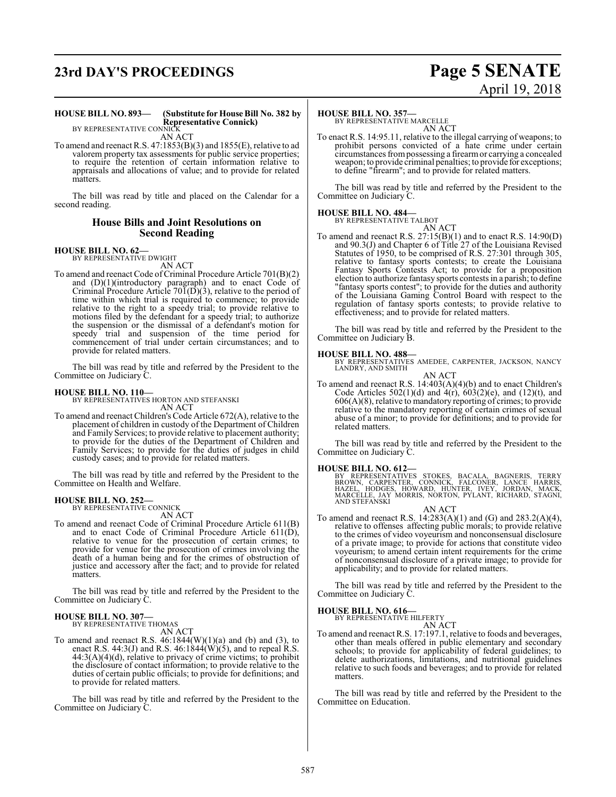# **23rd DAY'S PROCEEDINGS Page 5 SENATE**

# April 19, 2018

#### **HOUSE BILL NO. 893— (Substitute for House Bill No. 382 by Representative Connick)**

BY REPRESENTATIVE CONNICK AN ACT

To amend and reenact R.S. 47:1853(B)(3) and 1855(E), relative to ad valorem property tax assessments for public service properties; to require the retention of certain information relative to appraisals and allocations of value; and to provide for related matters.

The bill was read by title and placed on the Calendar for a second reading.

### **House Bills and Joint Resolutions on Second Reading**

## **HOUSE BILL NO. 62-**<br>BY REPRESENTATIVE DWIGHT

AN ACT

To amend and reenact Code of Criminal Procedure Article 701(B)(2) and (D)(1)(introductory paragraph) and to enact Code of Criminal Procedure Article  $70\overline{1}$ (D)(3), relative to the period of time within which trial is required to commence; to provide relative to the right to a speedy trial; to provide relative to motions filed by the defendant for a speedy trial; to authorize the suspension or the dismissal of a defendant's motion for speedy trial and suspension of the time period for commencement of trial under certain circumstances; and to provide for related matters.

The bill was read by title and referred by the President to the Committee on Judiciary C.

**HOUSE BILL NO. 110—**<br>BY REPRESENTATIVES HORTON AND STEFANSKI

- AN ACT
- To amend and reenact Children's Code Article 672(A), relative to the placement of children in custody of the Department of Children and Family Services; to provide relative to placement authority; to provide for the duties of the Department of Children and Family Services; to provide for the duties of judges in child custody cases; and to provide for related matters.

The bill was read by title and referred by the President to the Committee on Health and Welfare.

### **HOUSE BILL NO. 252—** BY REPRESENTATIVE CONNICK

AN ACT To amend and reenact Code of Criminal Procedure Article 611(B) and to enact Code of Criminal Procedure Article 611(D), relative to venue for the prosecution of certain crimes; to provide for venue for the prosecution of crimes involving the death of a human being and for the crimes of obstruction of justice and accessory after the fact; and to provide for related matters.

The bill was read by title and referred by the President to the Committee on Judiciary C.

## **HOUSE BILL NO. 307—** BY REPRESENTATIVE THOMAS

AN ACT

To amend and reenact R.S.  $46:1844(W)(1)(a)$  and (b) and (3), to enact R.S. 44:3(J) and R.S. 46:1844(W)(5), and to repeal R.S.  $44:3(A)(4)(d)$ , relative to privacy of crime victims; to prohibit the disclosure of contact information; to provide relative to the duties of certain public officials; to provide for definitions; and to provide for related matters.

The bill was read by title and referred by the President to the Committee on Judiciary C.

### **HOUSE BILL NO. 357-**<br>BY REPRESENTATIVE MARCELLE

AN ACT

To enact R.S. 14:95.11, relative to the illegal carrying of weapons; to prohibit persons convicted of a hate crime under certain circumstances frompossessing a firearmor carrying a concealed weapon; to provide criminal penalties; to provide for exceptions; to define "firearm"; and to provide for related matters.

The bill was read by title and referred by the President to the Committee on Judiciary C.

**HOUSE BILL NO. 484––**<br>BY REPRESENTATIVE TALBOT

AN ACT To amend and reenact R.S.  $27:15(B)(1)$  and to enact R.S.  $14:90(D)$ and 90.3(J) and Chapter 6 of Title 27 of the Louisiana Revised Statutes of 1950, to be comprised of R.S. 27:301 through 305, relative to fantasy sports contests; to create the Louisiana Fantasy Sports Contests Act; to provide for a proposition election to authorize fantasy sports contests in a parish; to define "fantasy sports contest"; to provide for the duties and authority of the Louisiana Gaming Control Board with respect to the regulation of fantasy sports contests; to provide relative to effectiveness; and to provide for related matters.

The bill was read by title and referred by the President to the Committee on Judiciary B.

**HOUSE BILL NO. 488—** BY REPRESENTATIVES AMEDEE, CARPENTER, JACKSON, NANCY LANDRY, AND SMITH

AN ACT To amend and reenact R.S. 14:403(A)(4)(b) and to enact Children's Code Articles  $502(1)(d)$  and  $4(r)$ ,  $603(2)(e)$ , and  $(12)(t)$ , and 606(A)(8), relative to mandatory reporting of crimes; to provide relative to the mandatory reporting of certain crimes of sexual abuse of a minor; to provide for definitions; and to provide for related matters.

The bill was read by title and referred by the President to the Committee on Judiciary C.

**HOUSE BILL NO. 612—**<br>BY REPRESENTATIVES STOKES, BACALA, BAGNERIS, TERRY<br>BROWN, CARPENTER, CONNICK, FALCONER, LANCE HARRIS,<br>HAZEL, HODGES, HOWARD, HUNTER, IVEY, JORDAN, MACK,<br>MARCELLE, JAY MORRIS, NORTON, PYLANT, RICHARD,

AN ACT

To amend and reenact R.S. 14:283(A)(1) and (G) and 283.2(A)(4), relative to offenses affecting public morals; to provide relative to the crimes of video voyeurism and nonconsensual disclosure of a private image; to provide for actions that constitute video voyeurism; to amend certain intent requirements for the crime of nonconsensual disclosure of a private image; to provide for applicability; and to provide for related matters.

The bill was read by title and referred by the President to the Committee on Judiciary C.

# **HOUSE BILL NO. 616—**<br>BY REPRESENTATIVE HILFERTY

AN ACT

To amend and reenact R.S. 17:197.1, relative to foods and beverages, other than meals offered in public elementary and secondary schools; to provide for applicability of federal guidelines; to delete authorizations, limitations, and nutritional guidelines relative to such foods and beverages; and to provide for related matters.

The bill was read by title and referred by the President to the Committee on Education.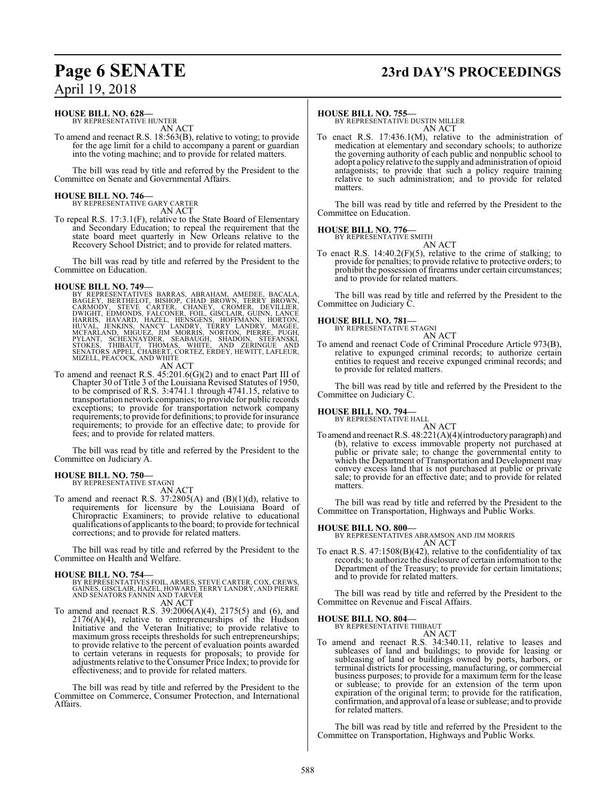# **Page 6 SENATE 23rd DAY'S PROCEEDINGS**

### April 19, 2018

### **HOUSE BILL NO. 628-**<br>BY REPRESENTATIVE HUNTER

AN ACT

To amend and reenact R.S. 18:563(B), relative to voting; to provide for the age limit for a child to accompany a parent or guardian into the voting machine; and to provide for related matters.

The bill was read by title and referred by the President to the Committee on Senate and Governmental Affairs.

### **HOUSE BILL NO. 746—** BY REPRESENTATIVE GARY CARTER

AN ACT

To repeal R.S. 17:3.1(F), relative to the State Board of Elementary and Secondary Education; to repeal the requirement that the state board meet quarterly in New Orleans relative to the Recovery School District; and to provide for related matters.

The bill was read by title and referred by the President to the Committee on Education.

HOUSE BILL NO. 749—<br>
BY REPRESENTATIVES BARRAS, ABRAHAM, AMEDEE, BACALA,<br>
BAGLEY, BERTHELOT, BISHOP, CHAD BROWN, TERRY BROWN,<br>
CARMODY, STEVE CARTER, CHANEY, CROMER, DEVILLIER,<br>
DWIGHT, EDMONDS, FALCONER, FOIL, GISCLAIR, G

### AN ACT

To amend and reenact R.S. 45:201.6(G)(2) and to enact Part III of Chapter 30 of Title 3 of the Louisiana Revised Statutes of 1950, to be comprised of R.S. 3:4741.1 through 4741.15, relative to transportation network companies; to provide for public records exceptions; to provide for transportation network company requirements; to provide for definitions; to provide for insurance requirements; to provide for an effective date; to provide for fees; and to provide for related matters.

The bill was read by title and referred by the President to the Committee on Judiciary A.

## **HOUSE BILL NO. 750––**<br>BY REPRESENTATIVE STAGNI

AN ACT

To amend and reenact R.S.  $37:2805(A)$  and  $(B)(1)(d)$ , relative to requirements for licensure by the Louisiana Board of Chiropractic Examiners; to provide relative to educational qualifications of applicants to the board; to provide for technical corrections; and to provide for related matters.

The bill was read by title and referred by the President to the Committee on Health and Welfare.

- **HOUSE BILL NO. 754—**<br>BY REPRESENTATIVES FOIL, ARMES, STEVE CARTER, COX, CREWS,<br>GAINES, GISCLAIR, HAZEL, HOWARD, TERRY LANDRY, AND PIERRE<br>AND SENATORS FANNIN AND TARVER
	- AN ACT
- To amend and reenact R.S. 39:2006(A)(4), 2175(5) and (6), and 2176(A)(4), relative to entrepreneurships of the Hudson Initiative and the Veteran Initiative; to provide relative to maximum gross receipts thresholds for such entrepreneurships; to provide relative to the percent of evaluation points awarded to certain veterans in requests for proposals; to provide for adjustments relative to theConsumer Price Index; to provide for effectiveness; and to provide for related matters.

The bill was read by title and referred by the President to the Committee on Commerce, Consumer Protection, and International Affairs.

**HOUSE BILL NO. 755—**<br>BY REPRESENTATIVE DUSTIN MILLER AN ACT

To enact R.S. 17:436.1(M), relative to the administration of medication at elementary and secondary schools; to authorize the governing authority of each public and nonpublic school to adopt a policy relative to the supply and administration of opioid antagonists; to provide that such a policy require training relative to such administration; and to provide for related matters.

The bill was read by title and referred by the President to the Committee on Education.

## **HOUSE BILL NO. 776—**<br>BY REPRESENTATIVE SMITH

AN ACT

To enact R.S.  $14:40.2(F)(5)$ , relative to the crime of stalking; to provide for penalties; to provide relative to protective orders; to prohibit the possession of firearms under certain circumstances; and to provide for related matters.

The bill was read by title and referred by the President to the Committee on Judiciary C.

### **HOUSE BILL NO. 781-**

AN ACT To amend and reenact Code of Criminal Procedure Article 973(B), relative to expunged criminal records; to authorize certain entities to request and receive expunged criminal records; and to provide for related matters.

The bill was read by title and referred by the President to the Committee on Judiciary C.

### **HOUSE BILL NO. 794––**<br>BY REPRESENTATIVE HALL

AN ACT To amend and reenact R.S. 48:221(A)(4)(introductory paragraph) and (b), relative to excess immovable property not purchased at public or private sale; to change the governmental entity to which the Department of Transportation and Development may convey excess land that is not purchased at public or private sale; to provide for an effective date; and to provide for related matters.

The bill was read by title and referred by the President to the Committee on Transportation, Highways and Public Works.

**HOUSE BILL NO. 800—** BY REPRESENTATIVES ABRAMSON AND JIM MORRIS AN ACT

To enact R.S. 47:1508(B)(42), relative to the confidentiality of tax records; to authorize the disclosure of certain information to the Department of the Treasury; to provide for certain limitations; and to provide for related matters.

The bill was read by title and referred by the President to the Committee on Revenue and Fiscal Affairs.

## **HOUSE BILL NO. 804—**<br>BY REPRESENTATIVE THIBAUT

AN ACT To amend and reenact R.S. 34:340.11, relative to leases and subleases of land and buildings; to provide for leasing or subleasing of land or buildings owned by ports, harbors, or terminal districts for processing, manufacturing, or commercial business purposes; to provide for a maximum term for the lease or sublease; to provide for an extension of the term upon expiration of the original term; to provide for the ratification, confirmation, and approval of a lease or sublease; and to provide for related matters.

The bill was read by title and referred by the President to the Committee on Transportation, Highways and Public Works.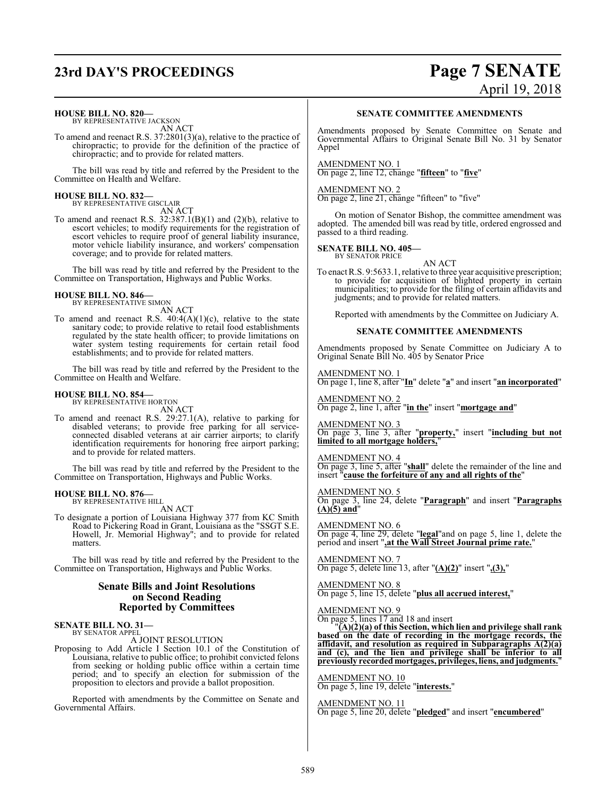# **23rd DAY'S PROCEEDINGS Page 7 SENATE**

## **HOUSE BILL NO. 820—**<br>BY REPRESENTATIVE JACKSON

AN ACT

To amend and reenact R.S. 37:2801(3)(a), relative to the practice of chiropractic; to provide for the definition of the practice of chiropractic; and to provide for related matters.

The bill was read by title and referred by the President to the Committee on Health and Welfare.

### **HOUSE BILL NO. 832—**<br>BY REPRESENTATIVE GISCLAIR

AN ACT

To amend and reenact R.S.  $32:387.1(B)(1)$  and  $(2)(b)$ , relative to escort vehicles; to modify requirements for the registration of escort vehicles to require proof of general liability insurance, motor vehicle liability insurance, and workers' compensation coverage; and to provide for related matters.

The bill was read by title and referred by the President to the Committee on Transportation, Highways and Public Works.

### **HOUSE BILL NO. 846—**<br>BY REPRESENTATIVE SIMON

AN ACT

To amend and reenact R.S.  $40:4(A)(1)(c)$ , relative to the state sanitary code; to provide relative to retail food establishments regulated by the state health officer; to provide limitations on water system testing requirements for certain retail food establishments; and to provide for related matters.

The bill was read by title and referred by the President to the Committee on Health and Welfare.

### **HOUSE BILL NO. 854—**<br>BY REPRESENTATIVE HORTON

AN ACT

To amend and reenact R.S. 29:27.1(A), relative to parking for disabled veterans; to provide free parking for all serviceconnected disabled veterans at air carrier airports; to clarify identification requirements for honoring free airport parking; and to provide for related matters.

The bill was read by title and referred by the President to the Committee on Transportation, Highways and Public Works.

### **HOUSE BILL NO. 876—** BY REPRESENTATIVE HILL

AN ACT

To designate a portion of Louisiana Highway 377 from KC Smith Road to Pickering Road in Grant, Louisiana as the "SSGT S.E. Howell, Jr. Memorial Highway"; and to provide for related matters.

The bill was read by title and referred by the President to the Committee on Transportation, Highways and Public Works.

### **Senate Bills and Joint Resolutions on Second Reading Reported by Committees**

### **SENATE BILL NO. 31–**<br>BY SENATOR APPEL

A JOINT RESOLUTION Proposing to Add Article I Section 10.1 of the Constitution of Louisiana, relative to public office; to prohibit convicted felons from seeking or holding public office within a certain time period; and to specify an election for submission of the proposition to electors and provide a ballot proposition.

Reported with amendments by the Committee on Senate and Governmental Affairs.

### **SENATE COMMITTEE AMENDMENTS**

Amendments proposed by Senate Committee on Senate and Governmental Affairs to Original Senate Bill No. 31 by Senator Appel

AMENDMENT NO. 1 On page 2, line 12, change "**fifteen**" to "**five**"

AMENDMENT NO. 2 On page 2, line 21, change "fifteen" to "five"

On motion of Senator Bishop, the committee amendment was adopted. The amended bill was read by title, ordered engrossed and passed to a third reading.

### **SENATE BILL NO. 405—**<br>BY SENATOR PRICE

AN ACT

To enact R.S. 9:5633.1, relative to three year acquisitive prescription; to provide for acquisition of blighted property in certain municipalities; to provide for the filing of certain affidavits and judgments; and to provide for related matters.

Reported with amendments by the Committee on Judiciary A.

### **SENATE COMMITTEE AMENDMENTS**

Amendments proposed by Senate Committee on Judiciary A to Original Senate Bill No. 405 by Senator Price

AMENDMENT NO. 1

On page 1, line 8, after "**In**" delete "**a**" and insert "**an incorporated**"

AMENDMENT NO. 2 On page 2, line 1, after "**in the**" insert "**mortgage and**"

AMENDMENT NO. 3 On page 3, line 3, after "**property,**" insert "**including but not limited to all mortgage holders,**"

AMENDMENT NO. 4 On page 3, line 5, after "**shall**" delete the remainder of the line and insert "**cause the forfeiture of any and all rights of the**"

AMENDMENT NO. 5 On page 3, line 24, delete "**Paragraph**" and insert "**Paragraphs (A)(5) and**"

AMENDMENT NO. 6 On page 4, line 29, delete "**legal**"and on page 5, line 1, delete the period and insert "**,at the Wall Street Journal prime rate.**"

AMENDMENT NO. 7 On page 5, delete line 13, after "**(A)(2)**" insert "**,(3),**"

AMENDMENT NO. 8 On page 5, line 15, delete "**plus all accrued interest,**"

AMENDMENT NO. 9 On page 5, lines 17 and 18 and insert

"**(A)(2)(a) of this Section, which lien and privilege shall rank based on the date of recording in the mortgage records, the affidavit, and resolution as required in Subparagraphs A(2)(a) and (c), and the lien and privilege shall be inferior to all previously recorded mortgages, privileges, liens, andjudgments.**"

AMENDMENT NO. 10 On page 5, line 19, delete "**interests.**"

AMENDMENT NO. 11 On page 5, line 20, delete "**pledged**" and insert "**encumbered**"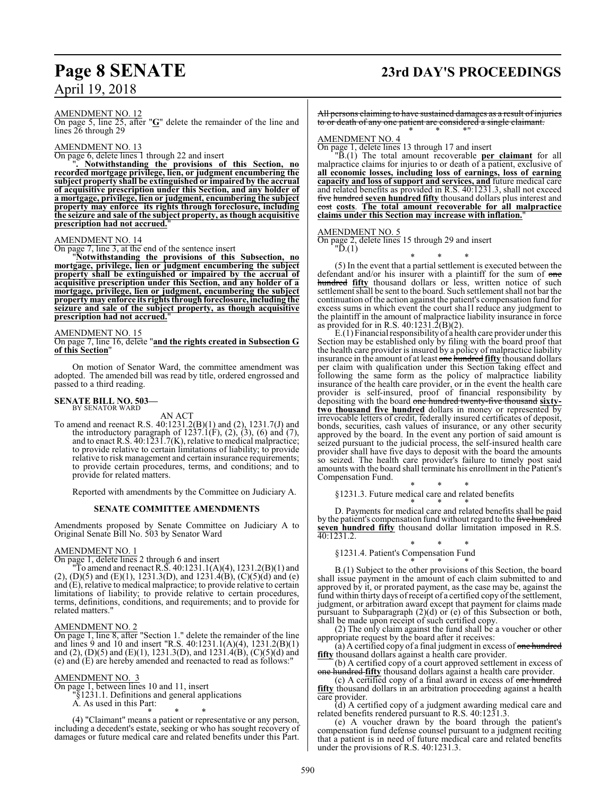## **Page 8 SENATE 23rd DAY'S PROCEEDINGS**

AMENDMENT NO. 12 On page 5, line 25, after "**G**" delete the remainder of the line and lines 26 through 29

#### AMENDMENT NO. 13

On page 6, delete lines 1 through 22 and insert

"**. Notwithstanding the provisions of this Section, no recorded mortgage privilege, lien, or judgment encumbering the subject property shall be extinguished or impaired by the accrual of acquisitive prescription under this Section, and any holder of a mortgage, privilege, lien or judgment, encumbering the subject property may enforce its rights through foreclosure, including the seizure and sale of the subject property, as though acquisitive prescription had not accrued.**"

### AMENDMENT NO. 14

On page 7, line 3, at the end of the sentence insert

"**Notwithstanding the provisions of this Subsection, no mortgage, privilege, lien or judgment encumbering the subject property shall be extinguished or impaired by the accrual of acquisitive prescription under this Section, and any holder of a mortgage, privilege, lien or judgment, encumbering the subject property** may enforce its rights through foreclosure, including the **seizure and sale of the subject property, as though acquisitive prescription had not accrued.**"

### AMENDMENT NO. 15

On page 7, line 16, delete "**and the rights created in Subsection G of this Section**"

On motion of Senator Ward, the committee amendment was adopted. The amended bill was read by title, ordered engrossed and passed to a third reading.

### **SENATE BILL NO. 503-**<br>BY SENATOR WARD

AN ACT To amend and reenact R.S. 40:1231.2(B)(1) and (2), 1231.7(J) and the introductory paragraph of  $1237.1(F)$ ,  $(2)$ ,  $(3)$ ,  $(6)$  and  $(7)$ , and to enact R.S. 40:1231.7(K), relative to medical malpractice; to provide relative to certain limitations of liability; to provide relative to risk management and certain insurance requirements; to provide certain procedures, terms, and conditions; and to provide for related matters.

Reported with amendments by the Committee on Judiciary A.

#### **SENATE COMMITTEE AMENDMENTS**

Amendments proposed by Senate Committee on Judiciary A to Original Senate Bill No. 503 by Senator Ward

#### AMENDMENT NO. 1

On page 1, delete lines 2 through 6 and insert

"To amend and reenact R.S.  $40:1231.1(A)(4)$ ,  $1231.2(B)(1)$  and (2), (D)(5) and (E)(1), 1231.3(D), and 1231.4(B), (C)(5)(d) and (e) and (E), relative to medical malpractice; to provide relative to certain limitations of liability; to provide relative to certain procedures, terms, definitions, conditions, and requirements; and to provide for related matters."

### AMENDMENT NO. 2

On page 1, line 8, after "Section 1." delete the remainder of the line and lines 9 and 10 and insert "R.S. 40:1231.1(A)(4), 1231.2(B)(1) and (2), (D)(5) and (E)(1), 1231.3(D), and 1231.4(B), (C)(5)(d) and (e) and (E) are hereby amended and reenacted to read as follows:"

#### AMENDMENT NO. 3

On page 1, between lines 10 and 11, insert "§1231.1. Definitions and general applications

A. As used in this Part:

\* \* \*

(4) "Claimant" means a patient or representative or any person, including a decedent's estate, seeking or who has sought recovery of damages or future medical care and related benefits under this Part.

All persons claiming to have sustained damages as a result of injuries to or death of any one patient are considered a single claimant. \* \* \*"

#### AMENDMENT NO. 4

On page 1, delete lines 13 through 17 and insert

"B.(1) The total amount recoverable **per claimant** for all malpractice claims for injuries to or death of a patient, exclusive of **all economic losses, including loss of earnings, loss of earning capacity and loss of support and services, and** future medical care and related benefits as provided in R.S. 40:1231.3, shall not exceed five hundred **seven hundred fifty** thousand dollars plus interest and cost **costs**. **The total amount recoverable for all malpractice claims under this Section may increase with inflation.**"

#### AMENDMENT NO. 5

"D.(1)

On page 2, delete lines 15 through 29 and insert

\* \* \* (5) In the event that a partial settlement is executed between the defendant and/or his insurer with a plaintiff for the sum of one hundred **fifty** thousand dollars or less, written notice of such settlement shall be sent to the board. Such settlement shall not bar the continuation of the action against the patient's compensation fund for excess sums in which event the court sha1l reduce any judgment to the plaintiff in the amount of malpractice liability insurance in force as provided for in R.S.  $40:1231.\overline{2}(B)(2)$ .

E.(1) Financial responsibility of a health care provider under this Section may be established only by filing with the board proof that the health care provider is insured by a policy of malpractice liability insurance in the amount of at least one hundred **fifty** thousand dollars per claim with qualification under this Section taking effect and following the same form as the policy of malpractice liability insurance of the health care provider, or in the event the health care provider is self-insured, proof of financial responsibility by depositing with the board one hundred twenty-five thousand **sixtytwo thousand five hundred** dollars in money or represented by irrevocable letters of credit, federally insured certificates of deposit, bonds, securities, cash values of insurance, or any other security approved by the board. In the event any portion of said amount is seized pursuant to the judicial process, the self-insured health care provider shall have five days to deposit with the board the amounts so seized. The health care provider's failure to timely post said amounts with the board shall terminate his enrollment in the Patient's Compensation Fund.

\* \* \* §1231.3. Future medical care and related benefits

\* \* \* D. Payments for medical care and related benefits shall be paid by the patient's compensation fund without regard to the five hundred **seven hundred fifty** thousand dollar limitation imposed in R.S. 40:1231.2.

#### \* \* \* §1231.4. Patient's Compensation Fund

\* \* \* B.(1) Subject to the other provisions of this Section, the board shall issue payment in the amount of each claim submitted to and approved by it, or prorated payment, as the case may be, against the fund within thirty days ofreceipt of a certified copy of the settlement, judgment, or arbitration award except that payment for claims made pursuant to Subparagraph (2)(d) or (e) of this Subsection or both, shall be made upon receipt of such certified copy.

(2) The only claim against the fund shall be a voucher or other appropriate request by the board after it receives:

(a) A certified copy of a final judgment in excess of <del>one hundred</del> **fifty** thousand dollars against a health care provider.

(b) A certified copy of a court approved settlement in excess of one hundred **fifty** thousand dollars against a health care provider.

(c) A certified copy of a final award in excess of one hundred **fifty** thousand dollars in an arbitration proceeding against a health care provider.

(d) A certified copy of a judgment awarding medical care and related benefits rendered pursuant to R.S. 40:1231.3.

(e) A voucher drawn by the board through the patient's compensation fund defense counsel pursuant to a judgment reciting that a patient is in need of future medical care and related benefits under the provisions of R.S. 40:1231.3.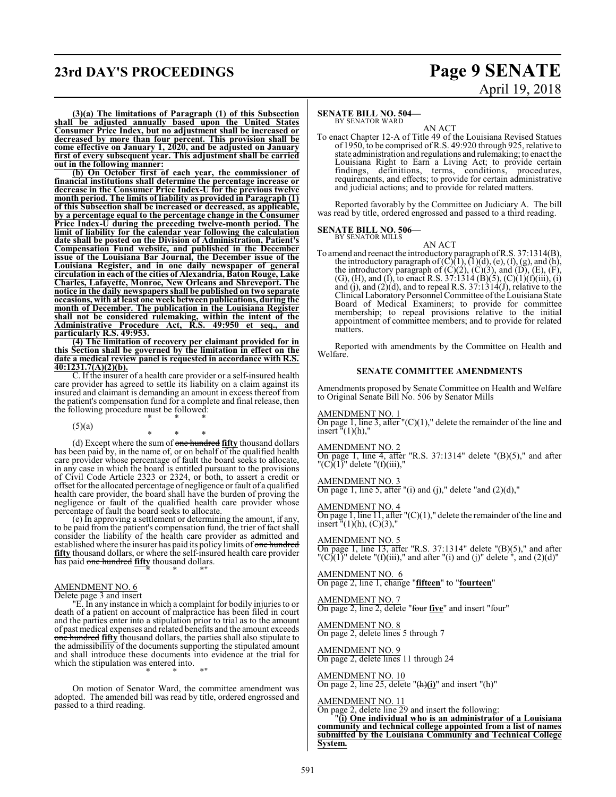### **23rd DAY'S PROCEEDINGS Page 9 SENATE**

# April 19, 2018

**(3)(a) The limitations of Paragraph (1) of this Subsection shall be adjusted annually based upon the United States Consumer Price Index, but no adjustment shall be increased or decreased by more than four percent. This provision shall be come effective on January 1, 2020, and be adjusted on January first of every subsequent year. This adjustment shall be carried out in the following manner:**

**(b) On October first of each year, the commissioner of financial institutions shall determine the percentage increase or decrease in the Consumer Price Index-U for the previous twelve month period. The limits of liability as provided in Paragraph (1) of this Subsection shall be increased or decreased, as applicable, by a percentage equal to the percentage change in the Consumer Price Index-U during the preceding twelve-month period. The limit of liability for the calendar year following the calculation date shall be posted on the Division of Administration, Patient's Compensation Fund website, and published in the December issue of the Louisiana Bar Journal, the December issue of the Louisiana Register, and in one daily newspaper of general circulation in each of the cities of Alexandria, Baton Rouge, Lake Charles, Lafayette, Monroe, New Orleans and Shreveport. The notice in the daily newspapers shall be published on two separate occasions, with at least one weekbetween publications, during the month of December. The publication in the Louisiana Register shall not be considered rulemaking, within the intent of the Administrative Procedure Act, R.S. 49:950 et seq., and particularly R.S. 49:953.**

**(4) The limitation of recovery per claimant provided for in this Section shall be governed by the limitation in effect on the date a medical review panel is requested in accordance with R.S. 40:1231.7(A)(2)(b).**

C. If the insurer of a health care provider or a self-insured health care provider has agreed to settle its liability on a claim against its insured and claimant is demanding an amount in excess thereof from the patient's compensation fund for a complete and final release, then the following procedure must be followed: \* \* \*

 $(5)(a)$ 

\* \* \* (d) Except where the sum of one hundred **fifty** thousand dollars has been paid by, in the name of, or on behalf of the qualified health care provider whose percentage of fault the board seeks to allocate, in any case in which the board is entitled pursuant to the provisions of Civil Code Article 2323 or 2324, or both, to assert a credit or offset for the allocated percentage of negligence or fault of a qualified health care provider, the board shall have the burden of proving the negligence or fault of the qualified health care provider whose percentage of fault the board seeks to allocate.

(e) In approving a settlement or determining the amount, if any, to be paid from the patient's compensation fund, the trier of fact shall consider the liability of the health care provider as admitted and established where the insurer has paid its policy limits of one hundred **fifty** thousand dollars, or where the self-insured health care provider has paid one hundred **fifty** thousand dollars. \* \* \*"

#### AMENDMENT NO. 6

Delete page 3 and insert

"E. In any instance in which a complaint for bodily injuries to or death of a patient on account of malpractice has been filed in court and the parties enter into a stipulation prior to trial as to the amount of past medical expenses and related benefits and the amount exceeds one hundred **fifty** thousand dollars, the parties shall also stipulate to the admissibility of the documents supporting the stipulated amount and shall introduce these documents into evidence at the trial for which the stipulation was entered into. \* \* \*"

On motion of Senator Ward, the committee amendment was adopted. The amended bill was read by title, ordered engrossed and passed to a third reading.

### **SENATE BILL NO. 504–**<br>BY SENATOR WARD

AN ACT To enact Chapter 12-A of Title 49 of the Louisiana Revised Statues of 1950, to be comprised of R.S. 49:920 through 925, relative to state administration and regulations and rulemaking; to enact the Louisiana Right to Earn a Living Act; to provide certain findings, definitions, terms, conditions, procedures, requirements, and effects; to provide for certain administrative and judicial actions; and to provide for related matters.

Reported favorably by the Committee on Judiciary A. The bill was read by title, ordered engrossed and passed to a third reading.

# **SENATE BILL NO. 506—**<br>BY SENATOR MILLS

AN ACT To amend and reenact the introductory paragraph ofR.S. 37:1314(B), the introductory paragraph of  $(C)(1)$ ,  $(1)(d)$ ,  $(e)$ ,  $(f)$ ,  $(g)$ , and  $(h)$ , the introductory paragraph of  $(C)(2)$ ,  $(C)(3)$ , and  $(D)$ ,  $(E)$ ,  $(F)$ , (G), (H), and (I), to enact R.S.  $37:1314(B)(5)$ , (C) $(1)(f)(iii)$ , (i) and (j), and  $(2)(d)$ , and to repeal R.S. 37:1314(J), relative to the Clinical Laboratory Personnel Committee ofthe Louisiana State Board of Medical Examiners; to provide for committee membership; to repeal provisions relative to the initial appointment of committee members; and to provide for related matters.

Reported with amendments by the Committee on Health and Welfare.

### **SENATE COMMITTEE AMENDMENTS**

Amendments proposed by Senate Committee on Health and Welfare to Original Senate Bill No. 506 by Senator Mills

AMENDMENT NO. 1

On page 1, line 3, after  $(C)(1)$ ," delete the remainder of the line and insert  $\sqrt[n]{(1)}$ (h),

AMENDMENT NO. 2

On page 1, line 4, after "R.S. 37:1314" delete "(B)(5)," and after  $"({\rm C})$ (1)" delete "(f)(iii),"

#### AMENDMENT NO. 3

On page 1, line 5, after "(i) and (j)," delete "and  $(2)(d)$ ,"

#### AMENDMENT NO. 4

On page 1, line  $11$ , after " $(C)(1)$ ," delete the remainder of the line and insert  $\tilde{H}(1)(h)$ , (C)(3),"

### AMENDMENT NO. 5

On page 1, line  $13$ , after "R.S. 37:1314" delete " $(B)(5)$ ," and after " $(C)(1)$ " delete " $(f)(iii)$ ," and after " $(i)$  and  $(j)$ " delete ", and  $(2)(d)$ "

### AMENDMENT NO. 6

On page 2, line 1, change "**fifteen**" to "**fourteen**"

#### AMENDMENT NO. 7 On page 2, line 2, delete "four **five**" and insert "four"

AMENDMENT NO. 8 On page 2, delete lines 5 through 7

#### AMENDMENT NO. 9 On page 2, delete lines 11 through 24

AMENDMENT NO. 10 On page 2, line 25, delete "(h)**(i)**" and insert "(h)"

### AMENDMENT NO. 11

On page 2, delete line 29 and insert the following: "**(i) One individual who is an administrator of a Louisiana**

**community and technical college appointed from a list of names submitted by the Louisiana Community and Technical College System.**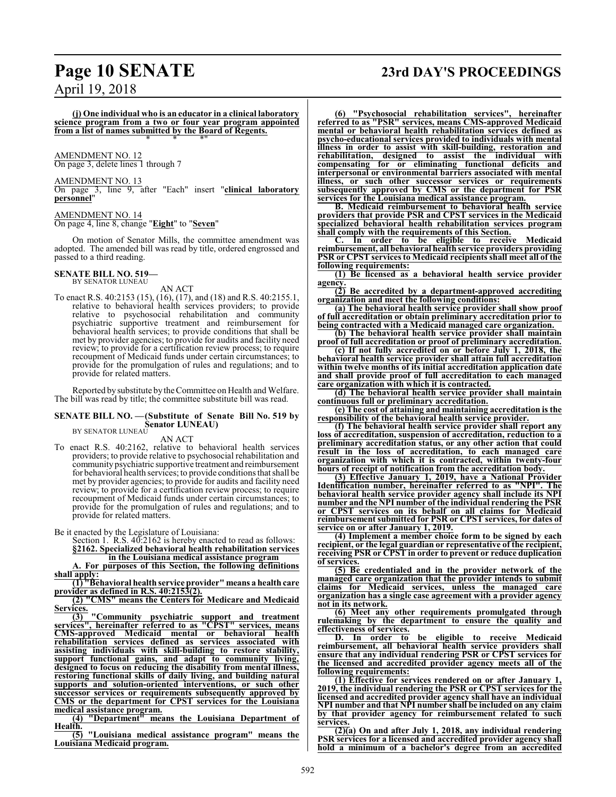## **Page 10 SENATE 23rd DAY'S PROCEEDINGS**

April 19, 2018

**(j) One individual who is an educator in a clinical laboratory science program from a two or four year program appointed from a list of names submitted by the Board of Regents.** \* \* \*"

AMENDMENT NO. 12 On page 3, delete lines 1 through 7

AMENDMENT NO. 13 On page 3, line 9, after "Each" insert "**clinical laboratory personnel**"

AMENDMENT NO. 14 On page 4, line 8, change "**Eight**" to "**Seven**"

On motion of Senator Mills, the committee amendment was adopted. The amended bill was read by title, ordered engrossed and passed to a third reading.

### **SENATE BILL NO. 519-**<br>BY SENATOR LUNEAU

AN ACT

To enact R.S. 40:2153 (15), (16), (17), and (18) and R.S. 40:2155.1, relative to behavioral health services providers; to provide relative to psychosocial rehabilitation and community psychiatric supportive treatment and reimbursement for behavioral health services; to provide conditions that shall be met by provider agencies; to provide for audits and facility need review; to provide for a certification review process; to require recoupment of Medicaid funds under certain circumstances; to provide for the promulgation of rules and regulations; and to provide for related matters.

Reported by substitute bythe Committee on Health and Welfare. The bill was read by title; the committee substitute bill was read.

#### **SENATE BILL NO. —(Substitute of Senate Bill No. 519 by Senator LUNEAU)** BY SENATOR LUNEAU

AN ACT

To enact R.S. 40:2162, relative to behavioral health services providers; to provide relative to psychosocial rehabilitation and community psychiatric supportive treatment and reimbursement for behavioral health services; to provide conditions that shall be met by provider agencies; to provide for audits and facility need review; to provide for a certification review process; to require recoupment of Medicaid funds under certain circumstances; to provide for the promulgation of rules and regulations; and to provide for related matters.

Be it enacted by the Legislature of Louisiana:

Section 1. R.S. 40:2162 is hereby enacted to read as follows: **§2162. Specialized behavioral health rehabilitation services**

**in the Louisiana medical assistance program**

**A. For purposes of this Section, the following definitions shall apply:**

**(1) "Behavioral health service provider" means a health care provider as defined in R.S. 40:2153(2).**

**(2) "CMS" means the Centers for Medicare and Medicaid Services.**

**(3) "Community psychiatric support and treatment services", hereinafter referred to as "CPST" services, means CMS-approved Medicaid mental or behavioral health rehabilitation services defined as services associated with assisting individuals with skill-building to restore stability, support functional gains, and adapt to community living, designed to focus on reducing the disability from mental illness, restoring functional skills of daily living, and building natural supports and solution-oriented interventions, or such other successor services or requirements subsequently approved by CMS or the department for CPST services for the Louisiana medical assistance program.**

**(4) "Department" means the Louisiana Department of Health.**

**(5) "Louisiana medical assistance program" means the Louisiana Medicaid program.**

**(6) "Psychosocial rehabilitation services", hereinafter referred to as "PSR" services, means CMS-approved Medicaid mental or behavioral health rehabilitation services defined as psycho-educational services provided to individuals with mental illness in order to assist with skill-building, restoration and rehabilitation, designed to assist the individual with compensating for or eliminating functional deficits and interpersonal or environmental barriers associated with mental illness, or such other successor services or requirements subsequently approved by CMS or the department for PSR services for the Louisiana medical assistance program.**

**B. Medicaid reimbursement to behavioral health service providers that provide PSR and CPST services in the Medicaid specialized behavioral health rehabilitation services program shall comply with the requirements of this Section.**

**C. In order to be eligible to receive Medicaid reimbursement, all behavioral health service providers providing PSR or CPST services to Medicaid recipients shall meet all of the following requirements:**

**(1) Be licensed as a behavioral health service provider agency.**

**(2) Be accredited by a department-approved accrediting organization and meet the following conditions:**

**(a) The behavioral health service provider shall show proof of full accreditation or obtain preliminary accreditation prior to being contracted with a Medicaid managed care organization.**

**(b) The behavioral health service provider shall maintain proof of full accreditation or proof of preliminary accreditation.**

**(c) If not fully accredited on or before July 1, 2018, the behavioral health service provider shall attain full accreditation within twelve months of its initial accreditation application date and shall provide proof of full accreditation to each managed care organization with which it is contracted.**

**(d) The behavioral health service provider shall maintain continuous full or preliminary accreditation.**

**(e) The cost of attaining and maintaining accreditation is the responsibility of the behavioral health service provider.**

**(f) The behavioral health service provider shall report any loss of accreditation, suspension of accreditation, reduction to a preliminary accreditation status, or any other action that could result in the loss of accreditation, to each managed care organization with which it is contracted, within twenty-four hours of receipt of notification from the accreditation body.**

**(3) Effective January 1, 2019, have a National Provider Identification number, hereinafter referred to as "NPI". The behavioral health service provider agency shall include its NPI number and the NPI number of the individual rendering the PSR or CPST services on its behalf on all claims for Medicaid reimbursement submitted for PSR or CPST services, for dates of service on or after January 1, 2019.**

**(4) Implement a member choice form to be signed by each recipient, or the legal guardian or representative of the recipient, receiving PSR or CPST in order to prevent or reduce duplication of services.**

**(5) Be credentialed and in the provider network of the managed care organization that the provider intends to submit claims for Medicaid services, unless the managed care organization has a single case agreement with a provider agency not in its network.**

**(6) Meet any other requirements promulgated through rulemaking by the department to ensure the quality and effectiveness of services.**<br>**D.** In order to

**D. In order to be eligible to receive Medicaid reimbursement, all behavioral health service providers shall ensure that any individual rendering PSR or CPST services for the licensed and accredited provider agency meets all of the following requirements:**

**(1) Effective for services rendered on or after January 1, 2019, the individual rendering the PSR or CPST services for the licensed and accredited provider agency shall have an individual NPI number and that NPI number shall be included on any claim by that provider agency for reimbursement related to such services.**

**(2)(a) On and after July 1, 2018, any individual rendering PSR services for a licensed and accredited provider agency shall hold a minimum of a bachelor's degree from an accredited**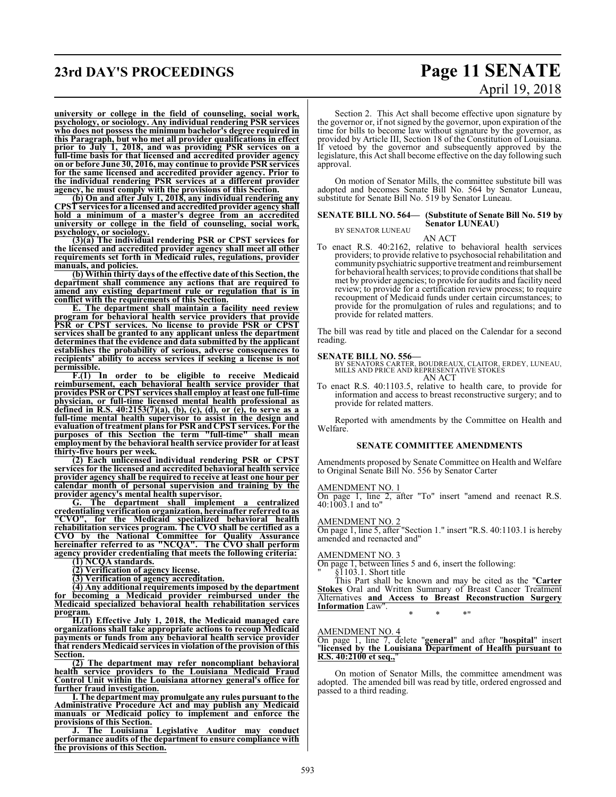### **23rd DAY'S PROCEEDINGS Page 11 SENATE**

# April 19, 2018

**university or college in the field of counseling, social work, psychology, or sociology. Any individual rendering PSR services who does not possess the minimum bachelor's degree required in this Paragraph, but who met all provider qualifications in effect prior to July 1, 2018, and was providing PSR services on a full-time basis for that licensed and accredited provider agency on or before June 30, 2016, may continue to provide PSR services for the same licensed and accredited provider agency. Prior to the individual rendering PSR services at a different provider agency, he must comply with the provisions of this Section.**

**(b) On and after July 1, 2018, any individual rendering any CPST services for a licensed and accredited provider agency shall hold a minimum of a master's degree from an accredited university or college in the field of counseling, social work, psychology, or sociology.**

**(3)(a) The individual rendering PSR or CPST services for the licensed and accredited provider agency shall meet all other requirements set forth in Medicaid rules, regulations, provider manuals, and policies.**

**(b) Within thirty days of the effective date of this Section, the department shall commence any actions that are required to amend any existing department rule or regulation that is in conflict with the requirements of this Section.**

**E. The department shall maintain a facility need review program for behavioral health service providers that provide PSR or CPST services. No license to provide PSR or CPST services shall be granted to any applicant unless the department determines that the evidence and data submitted by the applicant establishes the probability of serious, adverse consequences to recipients' ability to access services if seeking a license is not permissible.**

**F.(1) In order to be eligible to receive Medicaid reimbursement, each behavioral health service provider that provides PSR or CPST services shall employ at least one full-time physician, or full-time licensed mental health professional as defined in R.S. 40:2153(7)(a), (b), (c), (d), or (e), to serve as a full-time mental health supervisor to assist in the design and evaluation of treatment plans for PSR and CPST services. For the purposes of this Section the term "full-time" shall mean employment by the behavioral health service provider for at least thirty-five hours per week.**

**(2) Each unlicensed individual rendering PSR or CPST services for the licensed and accredited behavioral health service provider agency shall be required to receive at least one hour per calendar month of personal supervision and training by the provider agency's mental health supervisor.**

**G. The department shall implement a centralized credentialing verification organization, hereinafter referred to as "CVO", for the Medicaid specialized behavioral health rehabilitation services program. The CVO shall be certified as a CVO by the National Committee for Quality Assurance hereinafter referred to as "NCQA". The CVO shall perform agency provider credentialing that meets the following criteria:**

**(1) NCQA standards.**

**(2) Verification of agency license.**

**(3) Verification of agency accreditation.**

**(4) Any additional requirements imposed by the department for becoming a Medicaid provider reimbursed under the Medicaid specialized behavioral health rehabilitation services program.**

**H.(1) Effective July 1, 2018, the Medicaid managed care organizations shall take appropriate actions to recoup Medicaid payments or funds from any behavioral health service provider that renders Medicaid services in violation of the provision of this Section.**

**(2) The department may refer noncompliant behavioral health service providers to the Louisiana Medicaid Fraud Control Unit within the Louisiana attorney general's office for further fraud investigation.**

**I. The department may promulgate any rules pursuant to the Administrative Procedure Act and may publish any Medicaid manuals or Medicaid policy to implement and enforce the provisions of this Section.**

**J. The Louisiana Legislative Auditor may conduct performance audits of the department to ensure compliance with the provisions of this Section.** 

Section 2. This Act shall become effective upon signature by the governor or, if not signed by the governor, upon expiration of the time for bills to become law without signature by the governor, as provided by Article III, Section 18 of the Constitution of Louisiana. If vetoed by the governor and subsequently approved by the legislature, this Act shall become effective on the day following such approval.

On motion of Senator Mills, the committee substitute bill was adopted and becomes Senate Bill No. 564 by Senator Luneau, substitute for Senate Bill No. 519 by Senator Luneau.

#### **SENATE BILL NO. 564— (Substitute of Senate Bill No. 519 by Senator LUNEAU)** BY SENATOR LUNEAU

AN ACT

To enact R.S. 40:2162, relative to behavioral health services providers; to provide relative to psychosocial rehabilitation and communitypsychiatric supportive treatment and reimbursement for behavioral health services; to provide conditions that shall be met by provider agencies; to provide for audits and facility need review; to provide for a certification review process; to require recoupment of Medicaid funds under certain circumstances; to provide for the promulgation of rules and regulations; and to provide for related matters.

The bill was read by title and placed on the Calendar for a second reading.

**SENATE BILL NO. 556—**<br>BY SENATORS CARTER, BOUDREAUX, CLAITOR, ERDEY, LUNEAU,<br>MILLS AND PRICE AND REPRESENTATIVE STOKES AN ACT

To enact R.S. 40:1103.5, relative to health care, to provide for information and access to breast reconstructive surgery; and to provide for related matters.

Reported with amendments by the Committee on Health and Welfare.

### **SENATE COMMITTEE AMENDMENTS**

Amendments proposed by Senate Committee on Health and Welfare to Original Senate Bill No. 556 by Senator Carter

#### AMENDMENT NO. 1

On page 1, line 2, after "To" insert "amend and reenact R.S. 40:1003.1 and to"

#### AMENDMENT NO. 2

On page 1, line 5, after "Section 1." insert "R.S. 40:1103.1 is hereby amended and reenacted and"

#### AMENDMENT NO. 3

On page 1, between lines 5 and 6, insert the following:

" §1103.1. Short title

This Part shall be known and may be cited as the "**Carter Stokes** Oral and Written Summary of Breast Cancer Treatment Alternatives **and Access to Breast Reconstruction Surgery Information** Law".

\* \* \*"

### AMENDMENT NO. 4

On page 1, line 7, delete "**general**" and after "**hospital**" insert "**licensed by the Louisiana Department of Health pursuant to R.S. 40:2100 et seq.,** 

On motion of Senator Mills, the committee amendment was adopted. The amended bill was read by title, ordered engrossed and passed to a third reading.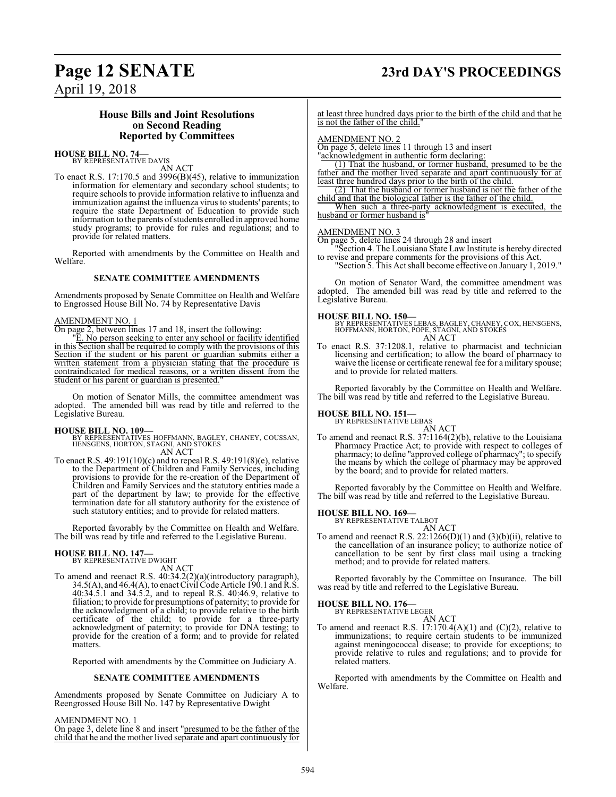## **Page 12 SENATE 23rd DAY'S PROCEEDINGS**

April 19, 2018

### **House Bills and Joint Resolutions on Second Reading Reported by Committees**

### **HOUSE BILL NO. 74—**<br>BY REPRESENTATIVE DAVIS

AN ACT

To enact R.S. 17:170.5 and 3996(B)(45), relative to immunization information for elementary and secondary school students; to require schools to provide information relative to influenza and immunization against the influenza virus to students' parents; to require the state Department of Education to provide such information to the parents ofstudents enrolled in approved home study programs; to provide for rules and regulations; and to provide for related matters.

Reported with amendments by the Committee on Health and Welfare.

### **SENATE COMMITTEE AMENDMENTS**

Amendments proposed by Senate Committee on Health and Welfare to Engrossed House Bill No. 74 by Representative Davis

### AMENDMENT NO. 1

On page 2, between lines 17 and 18, insert the following:

"E. No person seeking to enter any school or facility identified in this Section shall be required to comply with the provisions of this Section if the student or his parent or guardian submits either a written statement from a physician stating that the procedure is contraindicated for medical reasons, or a written dissent from the student or his parent or guardian is presented."

On motion of Senator Mills, the committee amendment was adopted. The amended bill was read by title and referred to the Legislative Bureau.

**HOUSE BILL NO. 109—** BY REPRESENTATIVES HOFFMANN, BAGLEY, CHANEY, COUSSAN, HENSGENS, HORTON, STAGNI, AND STOKES AN ACT

To enact R.S. 49:191(10)(c) and to repeal R.S. 49:191(8)(e), relative to the Department of Children and Family Services, including provisions to provide for the re-creation of the Department of Children and Family Services and the statutory entities made a part of the department by law; to provide for the effective termination date for all statutory authority for the existence of such statutory entities; and to provide for related matters.

Reported favorably by the Committee on Health and Welfare. The bill was read by title and referred to the Legislative Bureau.

### **HOUSE BILL NO. 147—** BY REPRESENTATIVE DWIGHT

AN ACT

To amend and reenact R.S. 40:34.2(2)(a)(introductory paragraph),  $34.5(A)$ , and  $46.4(A)$ , to enact Civil Code Article 190.1 and R.S. 40:34.5.1 and 34.5.2, and to repeal R.S. 40:46.9, relative to filiation; to provide for presumptions of paternity; to provide for the acknowledgment of a child; to provide relative to the birth certificate of the child; to provide for a three-party acknowledgment of paternity; to provide for DNA testing; to provide for the creation of a form; and to provide for related matters.

Reported with amendments by the Committee on Judiciary A.

### **SENATE COMMITTEE AMENDMENTS**

Amendments proposed by Senate Committee on Judiciary A to Reengrossed House Bill No. 147 by Representative Dwight

#### AMENDMENT NO. 1

On page 3, delete line 8 and insert "presumed to be the father of the child that he and the mother lived separate and apart continuously for at least three hundred days prior to the birth of the child and that he is not the father of the child."

#### AMENDMENT NO. 2

On page 5, delete lines 11 through 13 and insert

"acknowledgment in authentic form declaring: (1) That the husband, or former husband, presumed to be the

father and the mother lived separate and apart continuously for at least three hundred days prior to the birth of the child.

(2) That the husband or former husband is not the father of the child and that the biological father is the father of the child.

When such a three-party acknowledgment is executed, the husband or former husband is"

### AMENDMENT NO. 3

On page 5, delete lines 24 through 28 and insert

"Section 4. The Louisiana State Law Institute is hereby directed to revise and prepare comments for the provisions of this Act. "Section 5. This Act shall become effective on January 1, 2019."

On motion of Senator Ward, the committee amendment was adopted. The amended bill was read by title and referred to the Legislative Bureau.

**HOUSE BILL NO. 150—** BY REPRESENTATIVES LEBAS, BAGLEY, CHANEY, COX, HENSGENS, HOFFMANN, HORTON, POPE, STAGNI, AND STOKES AN ACT

To enact R.S. 37:1208.1, relative to pharmacist and technician licensing and certification; to allow the board of pharmacy to waive the license or certificate renewal fee for a military spouse; and to provide for related matters.

Reported favorably by the Committee on Health and Welfare. The bill was read by title and referred to the Legislative Bureau.

# **HOUSE BILL NO. 151—** BY REPRESENTATIVE LEBAS

AN ACT To amend and reenact R.S. 37:1164(2)(b), relative to the Louisiana Pharmacy Practice Act; to provide with respect to colleges of pharmacy; to define "approved college of pharmacy"; to specify the means by which the college of pharmacy may be approved by the board; and to provide for related matters.

Reported favorably by the Committee on Health and Welfare. The bill was read by title and referred to the Legislative Bureau.

## **HOUSE BILL NO. 169-**<br>BY REPRESENTATIVE TALBOT

AN ACT

To amend and reenact R.S.  $22:1266(D)(1)$  and  $(3)(b)(ii)$ , relative to the cancellation of an insurance policy; to authorize notice of cancellation to be sent by first class mail using a tracking method; and to provide for related matters.

Reported favorably by the Committee on Insurance. The bill was read by title and referred to the Legislative Bureau.

## **HOUSE BILL NO. 176—**<br>BY REPRESENTATIVE LEGER

AN ACT To amend and reenact R.S.  $17:170.4(A)(1)$  and  $(C)(2)$ , relative to immunizations; to require certain students to be immunized against meningococcal disease; to provide for exceptions; to provide relative to rules and regulations; and to provide for related matters.

Reported with amendments by the Committee on Health and Welfare.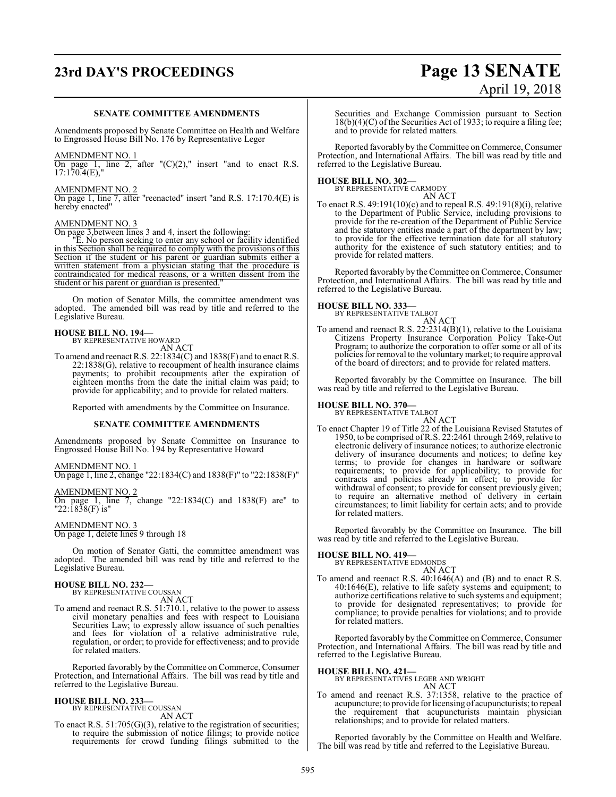# **23rd DAY'S PROCEEDINGS Page 13 SENATE**

### **SENATE COMMITTEE AMENDMENTS**

Amendments proposed by Senate Committee on Health and Welfare to Engrossed House Bill No. 176 by Representative Leger

#### AMENDMENT NO. 1

On page 1, line 2, after  $C(2)$ ," insert "and to enact R.S. 17:170.4(E),"

### AMENDMENT NO. 2

On page 1, line 7, after "reenacted" insert "and R.S. 17:170.4(E) is hereby enacted"

#### AMENDMENT NO. 3

On page 3,between lines 3 and 4, insert the following:

"E. No person seeking to enter any school or facility identified in this Section shall be required to comply with the provisions of this Section if the student or his parent or guardian submits either a written statement from a physician stating that the procedure is contraindicated for medical reasons, or a written dissent from the student or his parent or guardian is presented."

On motion of Senator Mills, the committee amendment was adopted. The amended bill was read by title and referred to the Legislative Bureau.

## **HOUSE BILL NO. 194—** BY REPRESENTATIVE HOWARD

AN ACT

To amend and reenact R.S. 22:1834(C) and 1838(F) and to enact R.S. 22:1838(G), relative to recoupment of health insurance claims payments; to prohibit recoupments after the expiration of eighteen months from the date the initial claim was paid; to provide for applicability; and to provide for related matters.

Reported with amendments by the Committee on Insurance.

### **SENATE COMMITTEE AMENDMENTS**

Amendments proposed by Senate Committee on Insurance to Engrossed House Bill No. 194 by Representative Howard

### AMENDMENT NO. 1

On page 1, line 2, change "22:1834(C) and 1838(F)" to "22:1838(F)"

### AMENDMENT NO. 2

On page 1, line 7, change "22:1834(C) and 1838(F) are" to "22:1838(F) is"

#### AMENDMENT NO. 3

On page 1, delete lines 9 through 18

On motion of Senator Gatti, the committee amendment was adopted. The amended bill was read by title and referred to the Legislative Bureau.

### **HOUSE BILL NO. 232-**<br>BY REPRESENTATIVE COUSSAN

AN ACT

To amend and reenact R.S. 51:710.1, relative to the power to assess civil monetary penalties and fees with respect to Louisiana Securities Law; to expressly allow issuance of such penalties and fees for violation of a relative administrative rule, regulation, or order; to provide for effectiveness; and to provide for related matters.

Reported favorably by the Committee on Commerce, Consumer Protection, and International Affairs. The bill was read by title and referred to the Legislative Bureau.

### **HOUSE BILL NO. 233—** BY REPRESENTATIVE COUSSAN

AN ACT

To enact R.S. 51:705(G)(3), relative to the registration of securities; to require the submission of notice filings; to provide notice requirements for crowd funding filings submitted to the

# April 19, 2018

Securities and Exchange Commission pursuant to Section 18(b)(4)(C) of the Securities Act of 1933; to require a filing fee; and to provide for related matters.

Reported favorably by the Committee on Commerce, Consumer Protection, and International Affairs. The bill was read by title and referred to the Legislative Bureau.

**HOUSE BILL NO. 302—**<br>BY REPRESENTATIVE CARMODY AN ACT

To enact R.S. 49:191(10)(c) and to repeal R.S. 49:191(8)(i), relative to the Department of Public Service, including provisions to provide for the re-creation of the Department of Public Service and the statutory entities made a part of the department by law; to provide for the effective termination date for all statutory authority for the existence of such statutory entities; and to provide for related matters.

Reported favorably by the Committee on Commerce, Consumer Protection, and International Affairs. The bill was read by title and referred to the Legislative Bureau.

### **HOUSE BILL NO. 333-**<br>BY REPRESENTATIVE TALBOT

AN ACT To amend and reenact R.S. 22:2314(B)(1), relative to the Louisiana Citizens Property Insurance Corporation Policy Take-Out Program; to authorize the corporation to offer some or all of its policies for removal to the voluntarymarket; to require approval of the board of directors; and to provide for related matters.

Reported favorably by the Committee on Insurance. The bill was read by title and referred to the Legislative Bureau.

**HOUSE BILL NO. 370-**<br>BY REPRESENTATIVE TALBOT

AN ACT To enact Chapter 19 of Title 22 of the Louisiana Revised Statutes of 1950, to be comprised of R.S. 22:2461 through 2469, relative to electronic delivery of insurance notices; to authorize electronic delivery of insurance documents and notices; to define key terms; to provide for changes in hardware or software requirements; to provide for applicability; to provide for contracts and policies already in effect; to provide for withdrawal of consent; to provide for consent previously given; to require an alternative method of delivery in certain circumstances; to limit liability for certain acts; and to provide for related matters.

Reported favorably by the Committee on Insurance. The bill was read by title and referred to the Legislative Bureau.

### **HOUSE BILL NO. 419—** BY REPRESENTATIVE EDMONDS

AN ACT

To amend and reenact R.S. 40:1646(A) and (B) and to enact R.S. 40:1646(E), relative to life safety systems and equipment; to authorize certifications relative to such systems and equipment; to provide for designated representatives; to provide for compliance; to provide penalties for violations; and to provide for related matters.

Reported favorably by the Committee on Commerce, Consumer Protection, and International Affairs. The bill was read by title and referred to the Legislative Bureau.

**HOUSE BILL NO. 421—** BY REPRESENTATIVES LEGER AND WRIGHT AN ACT

To amend and reenact R.S. 37:1358, relative to the practice of acupuncture; to provide for licensing of acupuncturists; to repeal the requirement that acupuncturists maintain physician relationships; and to provide for related matters.

Reported favorably by the Committee on Health and Welfare. The bill was read by title and referred to the Legislative Bureau.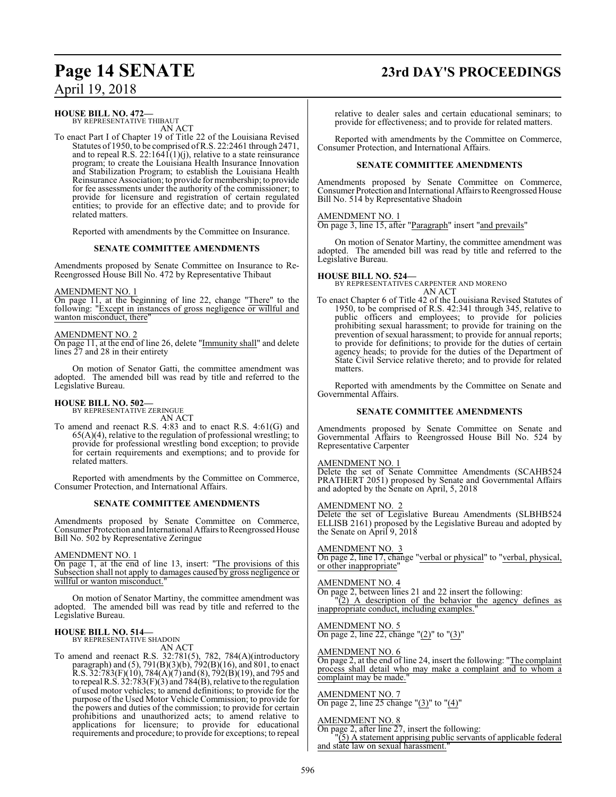## **Page 14 SENATE 23rd DAY'S PROCEEDINGS**

### **HOUSE BILL NO. 472—**

BY REPRESENTATIVE THIBAUT AN ACT

To enact Part I of Chapter 19 of Title 22 of the Louisiana Revised Statutes of 1950, to be comprised ofR.S. 22:2461 through 2471, and to repeal R.S. 22:1641(1)(j), relative to a state reinsurance program; to create the Louisiana Health Insurance Innovation and Stabilization Program; to establish the Louisiana Health Reinsurance Association; to provide for membership; to provide for fee assessments under the authority of the commissioner; to provide for licensure and registration of certain regulated entities; to provide for an effective date; and to provide for related matters.

Reported with amendments by the Committee on Insurance.

### **SENATE COMMITTEE AMENDMENTS**

Amendments proposed by Senate Committee on Insurance to Re-Reengrossed House Bill No. 472 by Representative Thibaut

### AMENDMENT NO. 1

On page 11, at the beginning of line 22, change "There" to the following: "Except in instances of gross negligence or willful and wanton misconduct, there"

### AMENDMENT NO. 2

On page 11, at the end of line 26, delete "Immunity shall" and delete lines 27 and 28 in their entirety

On motion of Senator Gatti, the committee amendment was adopted. The amended bill was read by title and referred to the Legislative Bureau.

## **HOUSE BILL NO. 502—** BY REPRESENTATIVE ZERINGUE

AN ACT

To amend and reenact R.S. 4:83 and to enact R.S. 4:61(G) and  $65(A)(4)$ , relative to the regulation of professional wrestling; to provide for professional wrestling bond exception; to provide for certain requirements and exemptions; and to provide for related matters.

Reported with amendments by the Committee on Commerce, Consumer Protection, and International Affairs.

### **SENATE COMMITTEE AMENDMENTS**

Amendments proposed by Senate Committee on Commerce, Consumer Protection and International Affairs to Reengrossed House Bill No. 502 by Representative Zeringue

### AMENDMENT NO. 1

On page 1, at the end of line 13, insert: "The provisions of this Subsection shall not apply to damages caused by gross negligence or willful or wanton misconduct.

On motion of Senator Martiny, the committee amendment was adopted. The amended bill was read by title and referred to the Legislative Bureau.

### **HOUSE BILL NO. 514—**

BY REPRESENTATIVE SHADOIN AN ACT

To amend and reenact R.S. 32:781(5), 782, 784(A)(introductory paragraph) and (5), 791(B)(3)(b), 792(B)(16), and 801, to enact  $R.S. 32:783(F)(10), 784(A)(7)$  and  $(8), 792(B)(19)$ , and 795 and to repeal R.S. 32:783(F)(3) and 784(B), relative to the regulation of used motor vehicles; to amend definitions; to provide for the purpose of the Used Motor Vehicle Commission; to provide for the powers and duties of the commission; to provide for certain prohibitions and unauthorized acts; to amend relative to applications for licensure; to provide for educational requirements and procedure; to provide for exceptions; to repeal relative to dealer sales and certain educational seminars; to provide for effectiveness; and to provide for related matters.

Reported with amendments by the Committee on Commerce, Consumer Protection, and International Affairs.

### **SENATE COMMITTEE AMENDMENTS**

Amendments proposed by Senate Committee on Commerce, Consumer Protection and International Affairs to Reengrossed House Bill No. 514 by Representative Shadoin

#### AMENDMENT NO. 1

On page 3, line 15, after "Paragraph" insert "and prevails"

On motion of Senator Martiny, the committee amendment was adopted. The amended bill was read by title and referred to the Legislative Bureau.

### **HOUSE BILL NO. 524—**

BY REPRESENTATIVES CARPENTER AND MORENO AN ACT

To enact Chapter 6 of Title 42 of the Louisiana Revised Statutes of 1950, to be comprised of R.S. 42:341 through 345, relative to public officers and employees; to provide for policies prohibiting sexual harassment; to provide for training on the prevention of sexual harassment; to provide for annual reports; to provide for definitions; to provide for the duties of certain agency heads; to provide for the duties of the Department of State Civil Service relative thereto; and to provide for related matters.

Reported with amendments by the Committee on Senate and Governmental Affairs.

### **SENATE COMMITTEE AMENDMENTS**

Amendments proposed by Senate Committee on Senate and Governmental Affairs to Reengrossed House Bill No. 524 by Representative Carpenter

### AMENDMENT NO. 1

Delete the set of Senate Committee Amendments (SCAHB524 PRATHERT 2051) proposed by Senate and Governmental Affairs and adopted by the Senate on April, 5, 2018

### AMENDMENT NO. 2

Delete the set of Legislative Bureau Amendments (SLBHB524 ELLISB 2161) proposed by the Legislative Bureau and adopted by the Senate on April 9, 2018

#### AMENDMENT NO. 3

On page 2, line 17, change "verbal or physical" to "verbal, physical, or other inappropriate"

### AMENDMENT NO. 4

On page 2, between lines 21 and 22 insert the following:  $(2)$  A description of the behavior the agency defines as

### inappropriate conduct, including examples.

### AMENDMENT NO. 5

On page 2, line 22, change "(2)" to "(3)"

### AMENDMENT NO. 6

On page 2, at the end of line 24, insert the following: "The complaint process shall detail who may make a complaint and to whom a complaint may be made."

### AMENDMENT NO. 7

On page 2, line 25 change "(3)" to "(4)"

#### AMENDMENT NO. 8

On page 2, after line 27, insert the following: "(5) A statement apprising public servants of applicable federal

and state law on sexual harassment."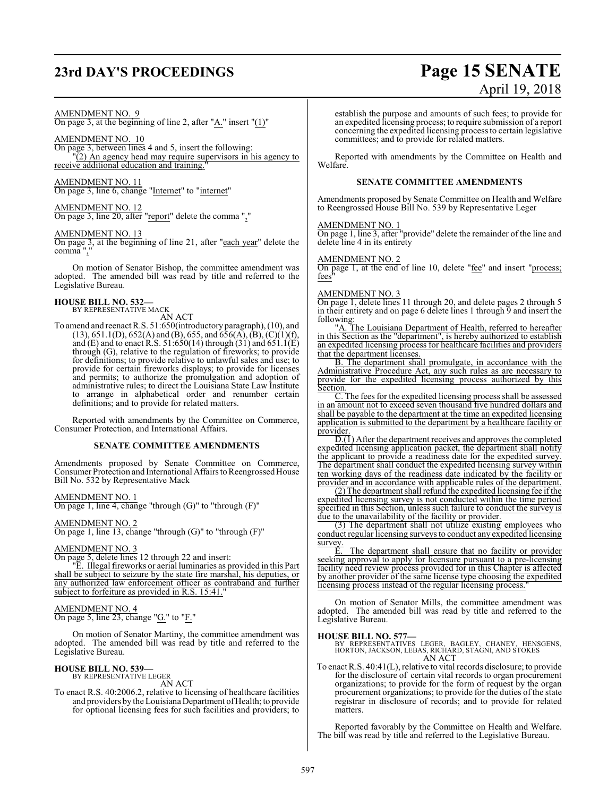# **23rd DAY'S PROCEEDINGS Page 15 SENATE**

### AMENDMENT NO. 9

On page 3, at the beginning of line 2, after " $\underline{A}$ ." insert " $\underline{(1)}$ "

### AMENDMENT NO. 10

On page 3, between lines 4 and 5, insert the following: "(2) An agency head may require supervisors in his agency to receive additional education and training.

### AMENDMENT NO. 11

On page 3, line 6, change "Internet" to "internet"

### AMENDMENT NO. 12

On page 3, line 20, after "report" delete the comma ","

### AMENDMENT NO. 13

On page 3, at the beginning of line 21, after "each year" delete the comma",

On motion of Senator Bishop, the committee amendment was adopted. The amended bill was read by title and referred to the Legislative Bureau.

### **HOUSE BILL NO. 532—** BY REPRESENTATIVE MACK

AN ACT

To amend and reenact R.S. 51:650(introductory paragraph), (10), and  $(13)$ , 651.1(D), 652(A) and (B), 655, and 656(A), (B), (C)(1)(f), and (E) and to enact R.S. 51:650(14) through (31) and 651.1(E) through (G), relative to the regulation of fireworks; to provide for definitions; to provide relative to unlawful sales and use; to provide for certain fireworks displays; to provide for licenses and permits; to authorize the promulgation and adoption of administrative rules; to direct the Louisiana State Law Institute to arrange in alphabetical order and renumber certain definitions; and to provide for related matters.

Reported with amendments by the Committee on Commerce, Consumer Protection, and International Affairs.

### **SENATE COMMITTEE AMENDMENTS**

Amendments proposed by Senate Committee on Commerce, Consumer Protection and International Affairs to Reengrossed House Bill No. 532 by Representative Mack

### AMENDMENT NO. 1

On page 1, line 4, change "through  $(G)$ " to "through  $(F)$ "

### AMENDMENT NO. 2

On page 1, line 13, change "through  $(G)$ " to "through  $(F)$ "

### AMENDMENT NO. 3

On page 5, delete lines 12 through 22 and insert:

"E. Illegal fireworks or aerial luminaries as provided in this Part shall be subject to seizure by the state fire marshal, his deputies, or any authorized law enforcement officer as contraband and further subject to forfeiture as provided in R.S. 15:41.

### AMENDMENT NO. 4

On page 5, line 23, change "G." to "F."

On motion of Senator Martiny, the committee amendment was adopted. The amended bill was read by title and referred to the Legislative Bureau.

#### **HOUSE BILL NO. 539—** BY REPRESENTATIVE LEGER

AN ACT

To enact R.S. 40:2006.2, relative to licensing of healthcare facilities and providers by the Louisiana Department of Health; to provide for optional licensing fees for such facilities and providers; to

April 19, 2018 establish the purpose and amounts of such fees; to provide for

an expedited licensing process; to require submission of a report concerning the expedited licensing process to certain legislative committees; and to provide for related matters.

Reported with amendments by the Committee on Health and Welfare.

### **SENATE COMMITTEE AMENDMENTS**

Amendments proposed by Senate Committee on Health and Welfare to Reengrossed House Bill No. 539 by Representative Leger

### AMENDMENT NO. 1

On page 1, line 3, after "provide" delete the remainder of the line and delete line 4 in its entirety

### AMENDMENT NO. 2

On page 1, at the end of line 10, delete "fee" and insert "process; fees

#### AMENDMENT NO. 3

On page 1, delete lines 11 through 20, and delete pages 2 through 5 in their entirety and on page 6 delete lines 1 through 9 and insert the following:

"A. The Louisiana Department of Health, referred to hereafter in this Section as the "department", is hereby authorized to establish an expedited licensing process for healthcare facilities and providers that the department licenses.

B. The department shall promulgate, in accordance with the Administrative Procedure Act, any such rules as are necessary to provide for the expedited licensing process authorized by this Section.

C. The fees for the expedited licensing process shall be assessed in an amount not to exceed seven thousand five hundred dollars and shall be payable to the department at the time an expedited licensing application is submitted to the department by a healthcare facility or provider.

 $\overline{D_1(1)}$  After the department receives and approves the completed expedited licensing application packet, the department shall notify expedited licensing application packet, the department shall notify the applicant to provide a readiness date for the expedited survey. The department shall conduct the expedited licensing survey within ten working days of the readiness date indicated by the facility or provider and in accordance with applicable rules of the department.

(2) The department shall refund the expedited licensing fee ifthe expedited licensing survey is not conducted within the time period specified in this Section, unless such failure to conduct the survey is due to the unavailability of the facility or provider.

(3) The department shall not utilize existing employees who conduct regular licensing surveys to conduct any expedited licensing survey.

The department shall ensure that no facility or provider seeking approval to apply for licensure pursuant to a pre-licensing facility need review process provided for in this Chapter is affected by another provider of the same license type choosing the expedited licensing process instead of the regular licensing process.

On motion of Senator Mills, the committee amendment was adopted. The amended bill was read by title and referred to the Legislative Bureau.

**HOUSE BILL NO. 577—** BY REPRESENTATIVES LEGER, BAGLEY, CHANEY, HENSGENS, HORTON, JACKSON, LEBAS, RICHARD, STAGNI, AND STOKES AN ACT

To enact R.S. 40:41(L), relative to vital records disclosure; to provide for the disclosure of certain vital records to organ procurement organizations; to provide for the form of request by the organ procurement organizations; to provide for the duties of the state registrar in disclosure of records; and to provide for related matters.

Reported favorably by the Committee on Health and Welfare. The bill was read by title and referred to the Legislative Bureau.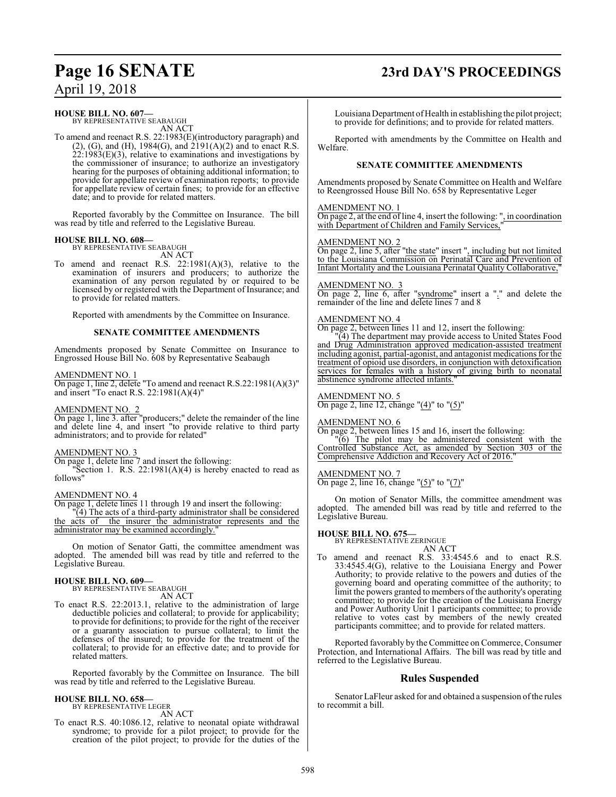## **Page 16 SENATE 23rd DAY'S PROCEEDINGS**

**HOUSE BILL NO. 607—**

BY REPRESENTATIVE SEABAUGH AN ACT

To amend and reenact R.S. 22:1983(E)(introductory paragraph) and  $(2)$ ,  $(G)$ , and  $(H)$ , 1984 $(G)$ , and  $2191(A)(2)$  and to enact R.S.  $22:1983(E)(3)$ , relative to examinations and investigations by the commissioner of insurance; to authorize an investigatory hearing for the purposes of obtaining additional information; to provide for appellate review of examination reports; to provide for appellate review of certain fines; to provide for an effective date; and to provide for related matters.

Reported favorably by the Committee on Insurance. The bill was read by title and referred to the Legislative Bureau.

### **HOUSE BILL NO. 608—** BY REPRESENTATIVE SEABAUGH

AN ACT

To amend and reenact R.S. 22:1981(A)(3), relative to the examination of insurers and producers; to authorize the examination of any person regulated by or required to be licensed by or registered with the Department of Insurance; and to provide for related matters.

Reported with amendments by the Committee on Insurance.

### **SENATE COMMITTEE AMENDMENTS**

Amendments proposed by Senate Committee on Insurance to Engrossed House Bill No. 608 by Representative Seabaugh

### AMENDMENT NO. 1

On page 1, line 2, delete "To amend and reenact R.S.22:1981(A)(3)" and insert "To enact R.S. 22:1981(A)(4)"

### AMENDMENT NO. 2

On page 1, line 3. after "producers;" delete the remainder of the line and delete line 4, and insert "to provide relative to third party administrators; and to provide for related"

### AMENDMENT NO. 3

On page 1, delete line 7 and insert the following:

"Section 1. R.S.  $22:1981(A)(4)$  is hereby enacted to read as follows"

### AMENDMENT NO. 4

On page 1, delete lines 11 through 19 and insert the following: "(4) The acts of a third-party administrator shall be considered the acts of the insurer the administrator represents and the administrator may be examined accordingly.

On motion of Senator Gatti, the committee amendment was adopted. The amended bill was read by title and referred to the Legislative Bureau.

### **HOUSE BILL NO. 609—**

BY REPRESENTATIVE SEABAUGH

- AN ACT
- To enact R.S. 22:2013.1, relative to the administration of large deductible policies and collateral; to provide for applicability; to provide for definitions; to provide for the right of the receiver or a guaranty association to pursue collateral; to limit the defenses of the insured; to provide for the treatment of the collateral; to provide for an effective date; and to provide for related matters.

Reported favorably by the Committee on Insurance. The bill was read by title and referred to the Legislative Bureau.

### **HOUSE BILL NO. 658—**

BY REPRESENTATIVE LEGER AN ACT

To enact R.S. 40:1086.12, relative to neonatal opiate withdrawal syndrome; to provide for a pilot project; to provide for the creation of the pilot project; to provide for the duties of the Louisiana Department of Health in establishing the pilot project; to provide for definitions; and to provide for related matters.

Reported with amendments by the Committee on Health and Welfare.

### **SENATE COMMITTEE AMENDMENTS**

Amendments proposed by Senate Committee on Health and Welfare to Reengrossed House Bill No. 658 by Representative Leger

#### AMENDMENT NO. 1

On page 2, at the end of line 4, insert the following: ", in coordination with Department of Children and Family Services,

### AMENDMENT NO. 2

On page 2, line 5, after "the state" insert ", including but not limited to the Louisiana Commission on Perinatal Care and Prevention of Infant Mortality and the Louisiana Perinatal Quality Collaborative,"

### AMENDMENT NO. 3

On page 2, line 6, after "syndrome" insert a "." and delete the remainder of the line and delete lines 7 and 8

#### AMENDMENT NO. 4

On page 2, between lines 11 and 12, insert the following:

"(4) The department may provide access to United States Food and Drug Administration approved medication-assisted treatment including agonist, partial-agonist, and antagonist medications for the treatment of opioid use disorders, in conjunction with detoxification services for females with a history of giving birth to neonatal abstinence syndrome affected infants."

### AMENDMENT NO. 5

On page 2, line 12, change " $(4)$ " to " $(5)$ "

### AMENDMENT NO. 6

On page 2, between lines 15 and 16, insert the following: "(6) The pilot may be administered consistent with the Controlled Substance Act, as amended by Section 303 of the Comprehensive Addiction and Recovery Act of 2016.

### AMENDMENT NO. 7

On page 2, line 16, change "(5)" to "(7)"

On motion of Senator Mills, the committee amendment was adopted. The amended bill was read by title and referred to the Legislative Bureau.

### **HOUSE BILL NO. 675—**

BY REPRESENTATIVE ZERINGUE

### AN ACT

To amend and reenact R.S. 33:4545.6 and to enact R.S. 33:4545.4(G), relative to the Louisiana Energy and Power Authority; to provide relative to the powers and duties of the governing board and operating committee of the authority; to limit the powers granted to members of the authority's operating committee; to provide for the creation of the Louisiana Energy and Power Authority Unit 1 participants committee; to provide relative to votes cast by members of the newly created participants committee; and to provide for related matters.

Reported favorably by the Committee on Commerce, Consumer Protection, and International Affairs. The bill was read by title and referred to the Legislative Bureau.

### **Rules Suspended**

Senator LaFleur asked for and obtained a suspension of the rules to recommit a bill.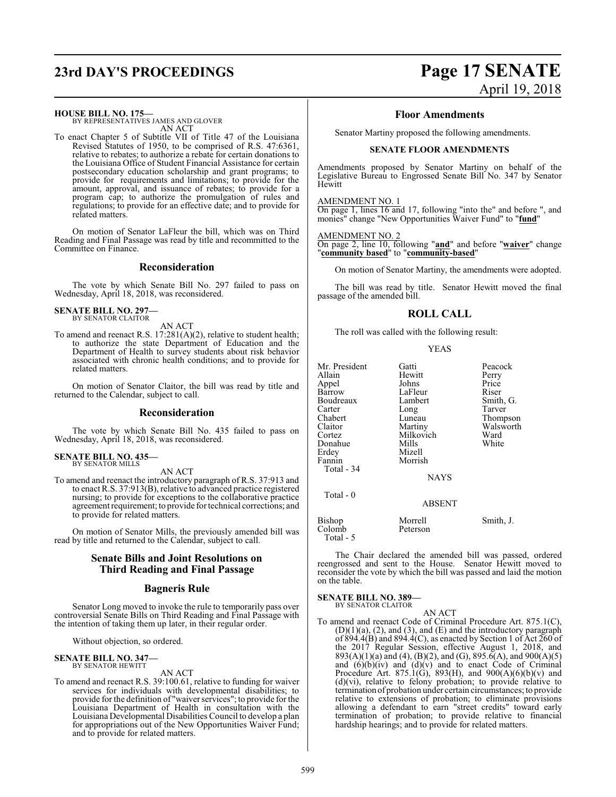## **23rd DAY'S PROCEEDINGS Page 17 SENATE**

### **HOUSE BILL NO. 175—**

BY REPRESENTATIVES JAMES AND GLOVER AN ACT

To enact Chapter 5 of Subtitle VII of Title 47 of the Louisiana Revised Statutes of 1950, to be comprised of R.S. 47:6361, relative to rebates; to authorize a rebate for certain donations to the Louisiana Office of Student Financial Assistance for certain postsecondary education scholarship and grant programs; to provide for requirements and limitations; to provide for the amount, approval, and issuance of rebates; to provide for a program cap; to authorize the promulgation of rules and regulations; to provide for an effective date; and to provide for related matters.

On motion of Senator LaFleur the bill, which was on Third Reading and Final Passage was read by title and recommitted to the Committee on Finance.

### **Reconsideration**

The vote by which Senate Bill No. 297 failed to pass on Wednesday, April 18, 2018, was reconsidered.

#### **SENATE BILL NO. 297—** BY SENATOR CLAITOR

AN ACT

To amend and reenact R.S. 17:281(A)(2), relative to student health; to authorize the state Department of Education and the Department of Health to survey students about risk behavior associated with chronic health conditions; and to provide for related matters.

On motion of Senator Claitor, the bill was read by title and returned to the Calendar, subject to call.

### **Reconsideration**

The vote by which Senate Bill No. 435 failed to pass on Wednesday, April 18, 2018, was reconsidered.

#### **SENATE BILL NO. 435—** BY SENATOR MILLS

AN ACT

To amend and reenact the introductory paragraph of R.S. 37:913 and to enact R.S. 37:913(B), relative to advanced practice registered nursing; to provide for exceptions to the collaborative practice agreement requirement; to provide for technical corrections; and to provide for related matters.

On motion of Senator Mills, the previously amended bill was read by title and returned to the Calendar, subject to call.

### **Senate Bills and Joint Resolutions on Third Reading and Final Passage**

### **Bagneris Rule**

Senator Long moved to invoke the rule to temporarily pass over controversial Senate Bills on Third Reading and Final Passage with the intention of taking them up later, in their regular order.

Without objection, so ordered.

#### **SENATE BILL NO. 347—** BY SENATOR HEWITT

AN ACT

To amend and reenact R.S. 39:100.61, relative to funding for waiver services for individuals with developmental disabilities; to provide for the definition of "waiver services"; to provide for the Louisiana Department of Health in consultation with the Louisiana Developmental Disabilities Council to develop a plan for appropriations out of the New Opportunities Waiver Fund; and to provide for related matters.

# April 19, 2018

### **Floor Amendments**

Senator Martiny proposed the following amendments.

### **SENATE FLOOR AMENDMENTS**

Amendments proposed by Senator Martiny on behalf of the Legislative Bureau to Engrossed Senate Bill No. 347 by Senator Hewitt

#### AMENDMENT NO. 1

On page 1, lines 16 and 17, following "into the" and before ", and monies" change "New Opportunities Waiver Fund" to "**fund**"

#### AMENDMENT NO. 2

On page 2, line 10, following "**and**" and before "**waiver**" change "**community based**" to "**community-based**"

On motion of Senator Martiny, the amendments were adopted.

The bill was read by title. Senator Hewitt moved the final passage of the amended bill.

### **ROLL CALL**

The roll was called with the following result:

| Mr. President<br>Allain<br>Appel<br>Barrow<br>Boudreaux<br>Carter<br>Chabert<br>Claitor<br>Cortez<br>Donahue<br>Erdey<br>Fannin<br>Total - 34<br>Total - 0 | Gatti<br>Hewitt<br>Johns<br>LaFleur<br>Lambert<br>Long<br>Luneau<br>Martiny<br>Milkovich<br>Mills<br>Mizell<br>Morrish<br><b>NAYS</b> | Peacock<br>Perry<br>Price<br>Riser<br>Smith, G.<br>Tarver<br>Thompson<br>Walsworth<br>Ward<br>White |
|------------------------------------------------------------------------------------------------------------------------------------------------------------|---------------------------------------------------------------------------------------------------------------------------------------|-----------------------------------------------------------------------------------------------------|
|                                                                                                                                                            | <b>ABSENT</b>                                                                                                                         |                                                                                                     |
| Bishop<br>Colomb<br>Total - 5                                                                                                                              | Morrell<br>Peterson                                                                                                                   | Smith, J.                                                                                           |

The Chair declared the amended bill was passed, ordered reengrossed and sent to the House. Senator Hewitt moved to reconsider the vote by which the bill was passed and laid the motion on the table.

#### **SENATE BILL NO. 389** BY SENATOR CLAITOR

AN ACT

To amend and reenact Code of Criminal Procedure Art. 875.1(C),  $(D)(1)(a)$ ,  $(2)$ , and  $(3)$ , and  $(E)$  and the introductory paragraph of 894.4(B) and 894.4(C), as enacted by Section 1 of Act 260 of the 2017 Regular Session, effective August 1, 2018, and  $893(A)(1)(a)$  and  $(4)$ ,  $(B)(2)$ , and  $(G)$ ,  $895.\bar{6}(A)$ , and  $900(A)(5)$ and  $(6)(b)(iv)$  and  $(d)(v)$  and to enact Code of Criminal Procedure Art. 875.1(G), 893(H), and  $900(A)(6)(b)(v)$  and (d)(vi), relative to felony probation; to provide relative to termination of probation under certain circumstances; to provide relative to extensions of probation; to eliminate provisions allowing a defendant to earn "street credits" toward early termination of probation; to provide relative to financial hardship hearings; and to provide for related matters.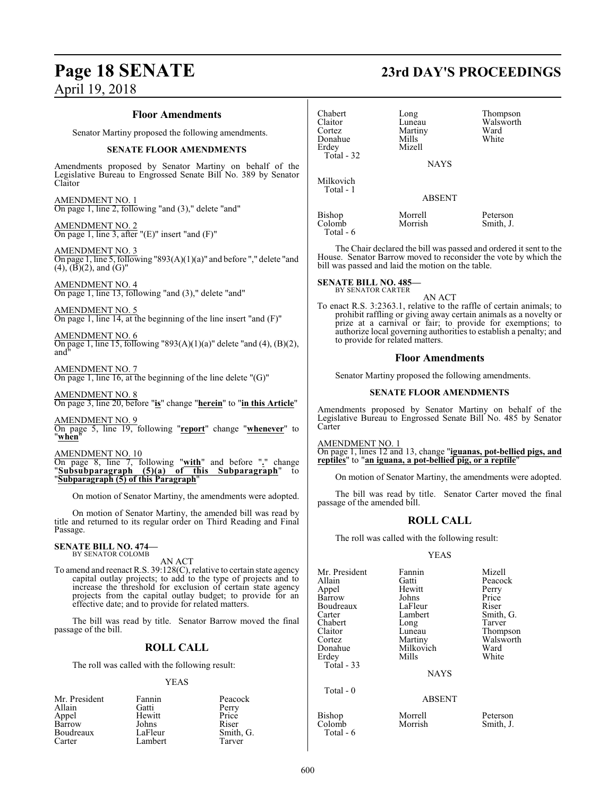### **Floor Amendments**

Senator Martiny proposed the following amendments.

### **SENATE FLOOR AMENDMENTS**

Amendments proposed by Senator Martiny on behalf of the Legislative Bureau to Engrossed Senate Bill No. 389 by Senator Claitor

AMENDMENT NO. 1 On page 1, line 2, following "and (3)," delete "and"

AMENDMENT NO. 2 On page 1, line 3, after "(E)" insert "and (F)"

AMENDMENT NO. 3 On page 1, line 5, following "893(A)(1)(a)" and before "," delete "and  $(4)$ ,  $(\overline{B})(2)$ , and  $(\overline{G})$ "

AMENDMENT NO. 4 On page 1, line 13, following "and (3)," delete "and"

AMENDMENT NO. 5 On page 1, line 14, at the beginning of the line insert "and (F)"

AMENDMENT NO. 6 On page 1, line 15, following "893(A)(1)(a)" delete "and (4), (B)(2), and"

AMENDMENT NO. 7 On page 1, line  $\overline{16}$ , at the beginning of the line delete "(G)"

AMENDMENT NO. 8 On page 3, line 20, before "**is**" change "**herein**" to "**in this Article**"

AMENDMENT NO. 9 On page 5, line 19, following "**report**" change "**whenever**" to "**when**"

AMENDMENT NO. 10

On page 8, line 7, following "**with**" and before "**.**" change "**Subsubparagraph (5)(a) of this Subparagraph**" to "**Subparagraph (5) of this Paragraph**"

On motion of Senator Martiny, the amendments were adopted.

On motion of Senator Martiny, the amended bill was read by title and returned to its regular order on Third Reading and Final Passage.

### **SENATE BILL NO. 474-**<br>BY SENATOR COLOMB

AN ACT

To amend and reenact R.S. 39:128(C), relative to certain state agency capital outlay projects; to add to the type of projects and to increase the threshold for exclusion of certain state agency projects from the capital outlay budget; to provide for an effective date; and to provide for related matters.

The bill was read by title. Senator Barrow moved the final passage of the bill.

### **ROLL CALL**

The roll was called with the following result:

### YEAS

| Mr. President | Fannin  | Peacock   |
|---------------|---------|-----------|
| Allain        | Gatti   | Perry     |
| Appel         | Hewitt  | Price     |
| Barrow        | Johns   | Riser     |
| Boudreaux     | LaFleur | Smith, G. |
| Carter        | Lambert | Tarver    |

### **Page 18 SENATE 23rd DAY'S PROCEEDINGS**

| Chabert<br>Claitor<br>Cortez<br>Donahue | Long<br>Luneau<br>Martiny<br>Mills<br>Mizell | Thompson<br>Walsworth<br>Ward<br>White |
|-----------------------------------------|----------------------------------------------|----------------------------------------|
| Erdey                                   |                                              |                                        |
| Total - 32                              | <b>NAYS</b>                                  |                                        |
|                                         |                                              |                                        |
| Milkovich<br>Total - 1                  |                                              |                                        |

ABSENT

Bishop Morrell Peterson<br>Colomb Morrish Smith J. Colomb Total - 6

The Chair declared the bill was passed and ordered it sent to the House. Senator Barrow moved to reconsider the vote by which the bill was passed and laid the motion on the table.

**SENATE BILL NO. 485-**<br>BY SENATOR CARTER

AN ACT

To enact R.S. 3:2363.1, relative to the raffle of certain animals; to prohibit raffling or giving away certain animals as a novelty or prize at a carnival or fair; to provide for exemptions; to authorize local governing authorities to establish a penalty; and to provide for related matters.

### **Floor Amendments**

Senator Martiny proposed the following amendments.

### **SENATE FLOOR AMENDMENTS**

Amendments proposed by Senator Martiny on behalf of the Legislative Bureau to Engrossed Senate Bill No. 485 by Senator Carter

AMENDMENT NO. 1

On page 1, lines 12 and 13, change "**iguanas, pot-bellied pigs, and reptiles**" to "**an iguana, a pot-bellied pig, or a reptile**"

On motion of Senator Martiny, the amendments were adopted.

The bill was read by title. Senator Carter moved the final passage of the amended bill.

### **ROLL CALL**

The roll was called with the following result:

### YEAS

| Mr. President<br>Allain<br>Appel<br>Barrow<br>Boudreaux<br>Carter<br>Chabert<br>Claitor<br>Cortez<br>Donahue<br>Erdey<br>Total - 33 | Fannin<br>Gatti<br>Hewitt<br>Johns<br>LaFleur<br>Lambert<br>Long<br>Luneau<br>Martiny<br>Milkovich<br>Mills<br><b>NAYS</b> | Mizell<br>Peacock<br>Perry<br>Price<br>Riser<br>Smith, G.<br>Tarver<br>Thompson<br>Walsworth<br>Ward<br>White |
|-------------------------------------------------------------------------------------------------------------------------------------|----------------------------------------------------------------------------------------------------------------------------|---------------------------------------------------------------------------------------------------------------|
| Total - 0                                                                                                                           | <b>ABSENT</b>                                                                                                              |                                                                                                               |

Bishop Morrell Peterson<br>Colomb Morrish Smith, J.

Colomb Total - 6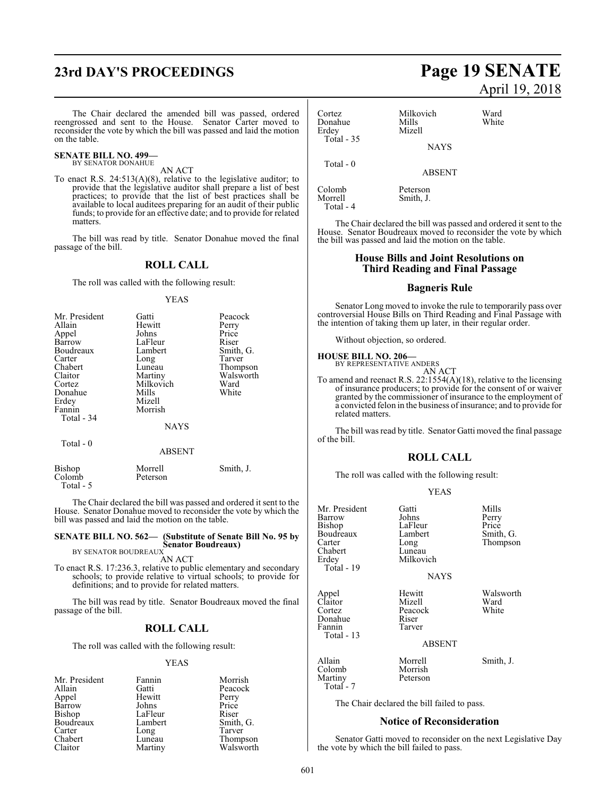The Chair declared the amended bill was passed, ordered reengrossed and sent to the House. Senator Carter moved to reconsider the vote by which the bill was passed and laid the motion on the table.

## **SENATE BILL NO. 499—**<br>BY SENATOR DONAHUE

### AN ACT

To enact R.S. 24:513(A)(8), relative to the legislative auditor; to provide that the legislative auditor shall prepare a list of best practices; to provide that the list of best practices shall be available to local auditees preparing for an audit of their public funds; to provide for an effective date; and to provide for related matters.

The bill was read by title. Senator Donahue moved the final passage of the bill.

### **ROLL CALL**

The roll was called with the following result:

YEAS

| Mr. President | Gatti       | Peacock   |
|---------------|-------------|-----------|
| Allain        | Hewitt      | Perry     |
| Appel         | Johns       | Price     |
| Barrow        | LaFleur     | Riser     |
| Boudreaux     | Lambert     | Smith, G. |
| Carter        | Long        | Tarver    |
| Chabert       | Luneau      | Thompson  |
| Claitor       | Martiny     | Walsworth |
| Cortez        | Milkovich   | Ward      |
| Donahue       | Mills       | White     |
| Erdey         | Mizell      |           |
| Fannin        | Morrish     |           |
| Total - 34    |             |           |
|               | <b>NAYS</b> |           |
| Total - 0     |             |           |

#### ABSENT

| Bishop    | Morrell  | Smith, J. |
|-----------|----------|-----------|
| Colomb    | Peterson |           |
| Total - 5 |          |           |

The Chair declared the bill was passed and ordered it sent to the House. Senator Donahue moved to reconsider the vote by which the bill was passed and laid the motion on the table.

### **SENATE BILL NO. 562— (Substitute of Senate Bill No. 95 by Senator Boudreaux)** BY SENATOR BOUDREAUX

AN ACT

To enact R.S. 17:236.3, relative to public elementary and secondary schools; to provide relative to virtual schools; to provide for definitions; and to provide for related matters.

The bill was read by title. Senator Boudreaux moved the final passage of the bill.

### **ROLL CALL**

The roll was called with the following result:

#### YEAS

| Mr. President | Fannin  | Morrish   |
|---------------|---------|-----------|
| Allain        | Gatti   | Peacock   |
| Appel         | Hewitt  | Perry     |
| Barrow        | Johns   | Price     |
| <b>Bishop</b> | LaFleur | Riser     |
| Boudreaux     | Lambert | Smith, G. |
| Carter        | Long    | Tarver    |
| Chabert       | Luneau  | Thompson  |
| Claitor       | Martiny | Walsworth |

## **23rd DAY'S PROCEEDINGS Page 19 SENATE** April 19, 2018

| Cortez<br>Donahue<br>Erdey | Milkovich<br>Mills<br>Mizell | Ward<br>White |
|----------------------------|------------------------------|---------------|
| <b>Total - 35</b>          | <b>NAYS</b>                  |               |
| Total $-0$                 | <b>ABSENT</b>                |               |
| Colomb<br>Morrell          | Peterson<br>Smith. J.        |               |

The Chair declared the bill was passed and ordered it sent to the House. Senator Boudreaux moved to reconsider the vote by which the bill was passed and laid the motion on the table.

### **House Bills and Joint Resolutions on Third Reading and Final Passage**

### **Bagneris Rule**

Senator Long moved to invoke the rule to temporarily pass over controversial House Bills on Third Reading and Final Passage with the intention of taking them up later, in their regular order.

Without objection, so ordered.

## **HOUSE BILL NO. 206—**<br>BY REPRESENTATIVE ANDERS

Total - 4

AN ACT

To amend and reenact R.S. 22:1554(A)(18), relative to the licensing of insurance producers; to provide for the consent of or waiver granted by the commissioner of insurance to the employment of a convicted felon in the business ofinsurance; and to provide for related matters.

The bill was read by title. Senator Gatti moved the final passage of the bill.

### **ROLL CALL**

The roll was called with the following result:

### YEAS

| Mr. President<br>Barrow<br>Bishop<br>Boudreaux<br>Carter<br>Chabert<br>Erdey<br>Total - 19 | Gatti<br>Johns<br>LaFleur<br>Lambert<br>Long<br>Luneau<br>Milkovich<br><b>NAYS</b> | Mills<br>Perry<br>Price<br>Smith, G.<br>Thompson |
|--------------------------------------------------------------------------------------------|------------------------------------------------------------------------------------|--------------------------------------------------|
| Appel<br>Claitor<br>Cortez<br>Donahue<br>Fannin<br>Total - 13                              | Hewitt<br>Mizell<br>Peacock<br>Riser<br>Tarver<br><b>ABSENT</b>                    | Walsworth<br>Ward<br>White                       |
| Allain<br>Colomb<br>Martiny<br>Total - 7                                                   | Morrell<br>Morrish<br>Peterson                                                     | Smith, J.                                        |

The Chair declared the bill failed to pass.

### **Notice of Reconsideration**

Senator Gatti moved to reconsider on the next Legislative Day the vote by which the bill failed to pass.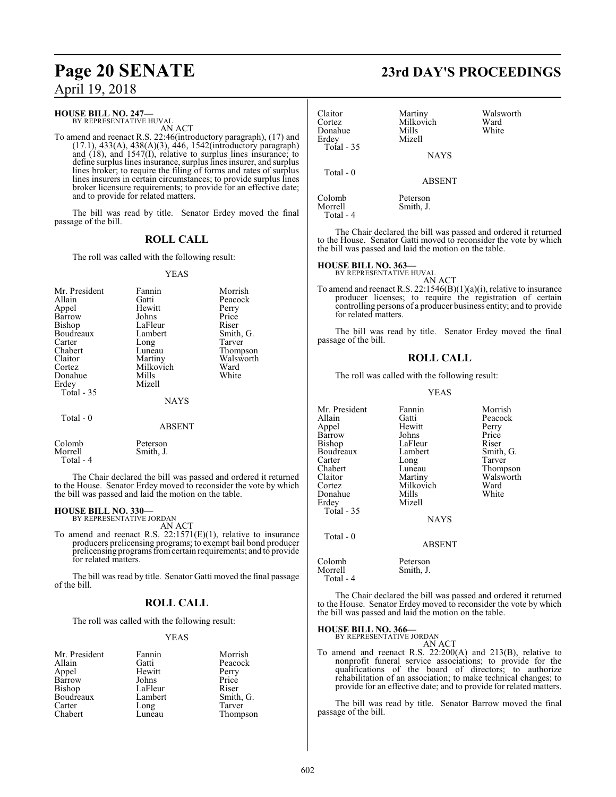### **HOUSE BILL NO. 247—**<br>BY REPRESENTATIVE HUVAL

AN ACT

To amend and reenact R.S. 22:46(introductory paragraph), (17) and  $(17.1)$ , 433(A), 438(A)(3), 446, 1542(introductory paragraph) and  $(18)$ , and  $1547(1)$ , relative to surplus lines insurance; to define surplus lines insurance, surplus lines insurer, and surplus lines broker; to require the filing of forms and rates of surplus lines insurers in certain circumstances; to provide surplus lines broker licensure requirements; to provide for an effective date; and to provide for related matters.

The bill was read by title. Senator Erdey moved the final passage of the bill.

### **ROLL CALL**

The roll was called with the following result:

#### YEAS

| Mr. President<br>Allain<br>Appel<br>Barrow<br>Bishop<br>Boudreaux | Fannin<br>Gatti<br>Hewitt<br>Johns<br>LaFleur<br>Lambert | Morrish<br>Peacock<br>Perry<br>Price<br>Riser<br>Smith, G. |
|-------------------------------------------------------------------|----------------------------------------------------------|------------------------------------------------------------|
| Carter<br>Chabert                                                 | Long                                                     | Tarver                                                     |
|                                                                   | Luneau                                                   | Thompson<br>Walsworth                                      |
| Claitor                                                           | Martiny<br>Milkovich                                     | Ward                                                       |
| Cortez                                                            |                                                          |                                                            |
| Donahue                                                           | Mills                                                    | White                                                      |
| Erdey                                                             | Mizell                                                   |                                                            |
| <b>Total - 35</b>                                                 |                                                          |                                                            |
|                                                                   | <b>NAYS</b>                                              |                                                            |
| Total - 0                                                         |                                                          |                                                            |
|                                                                   | <b>ABSENT</b>                                            |                                                            |
| Colomb<br>Morrell<br>Total - 4                                    | Peterson<br>Smith, J.                                    |                                                            |

The Chair declared the bill was passed and ordered it returned to the House. Senator Erdey moved to reconsider the vote by which the bill was passed and laid the motion on the table.

### **HOUSE BILL NO. 330-**<br>BY REPRESENTATIVE JORDAN

AN ACT

To amend and reenact R.S. 22:1571(E)(1), relative to insurance producers prelicensing programs; to exempt bail bond producer prelicensing programs fromcertain requirements; and to provide for related matters.

The bill was read by title. Senator Gatti moved the final passage of the bill.

### **ROLL CALL**

The roll was called with the following result:

### YEAS

| Mr. President<br>Allain<br>Appel<br>Barrow | Fannin<br>Gatti<br>Hewitt<br>Johns | Morrish<br>Peacock<br>Perry<br>Price |
|--------------------------------------------|------------------------------------|--------------------------------------|
| <b>Bishop</b>                              | LaFleur                            | Riser                                |
| Boudreaux                                  | Lambert                            | Smith, G.                            |
| Carter                                     | Long                               | Tarver                               |
| Chabert                                    | Luneau                             | Thompson                             |

### **Page 20 SENATE 23rd DAY'S PROCEEDINGS**

| Claitor<br>Cortez<br>Donahue<br>Erdey | Martiny<br>Milkovich<br>Mills<br>Mizell | Walsworth<br>Ward<br>White |
|---------------------------------------|-----------------------------------------|----------------------------|
| Total - 35                            | <b>NAYS</b>                             |                            |
| Total $-0$                            | <b>ABSENT</b>                           |                            |
| Colomb<br>Morrell<br>Total - 4        | Peterson<br>Smith, J.                   |                            |

The Chair declared the bill was passed and ordered it returned to the House. Senator Gatti moved to reconsider the vote by which the bill was passed and laid the motion on the table.

### **HOUSE BILL NO. 363-**<br>BY REPRESENTATIVE HUVAL

AN ACT

To amend and reenact R.S. 22:1546 $(B)(1)(a)(i)$ , relative to insurance producer licenses; to require the registration of certain controlling persons of a producer business entity; and to provide for related matters.

The bill was read by title. Senator Erdey moved the final passage of the bill.

### **ROLL CALL**

The roll was called with the following result:

#### YEAS

| Mr. President<br>Allain<br>Appel<br>Barrow | Fannin<br>Gatti<br>Hewitt<br>Johns | Morrish<br>Peacock<br>Perry<br>Price |
|--------------------------------------------|------------------------------------|--------------------------------------|
| Bishop                                     | LaFleur                            | Riser                                |
| Boudreaux<br>Carter                        | Lambert<br>Long                    | Smith, G.<br>Tarver                  |
| Chabert                                    | Luneau                             | Thompson                             |
| Claitor                                    | Martiny                            | Walsworth                            |
| Cortez                                     | Milkovich                          | Ward                                 |
| Donahue                                    | Mills                              | White                                |
| Erdey                                      | Mizell                             |                                      |
| Total - 35                                 |                                    |                                      |
|                                            | <b>NAYS</b>                        |                                      |
| Total - 0                                  |                                    |                                      |
|                                            | <b>ABSENT</b>                      |                                      |
| Colomb                                     | Peterson                           |                                      |

Morrell Smith, J. Total - 4

The Chair declared the bill was passed and ordered it returned to the House. Senator Erdey moved to reconsider the vote by which the bill was passed and laid the motion on the table.

# **HOUSE BILL NO. 366—** BY REPRESENTATIVE JORDAN

AN ACT

To amend and reenact R.S. 22:200(A) and 213(B), relative to nonprofit funeral service associations; to provide for the qualifications of the board of directors; to authorize rehabilitation of an association; to make technical changes; to provide for an effective date; and to provide for related matters.

The bill was read by title. Senator Barrow moved the final passage of the bill.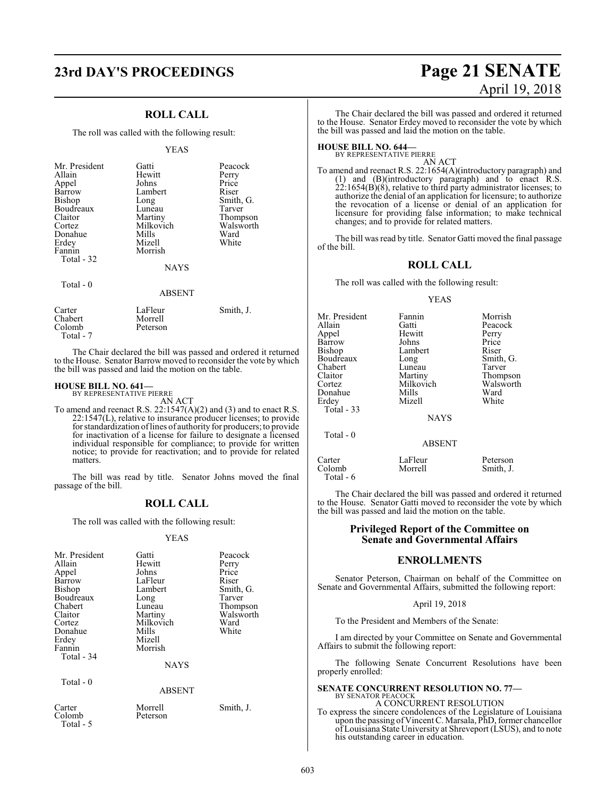## **23rd DAY'S PROCEEDINGS Page 21 SENATE**

### **ROLL CALL**

The roll was called with the following result:

#### YEAS

| Mr. President<br>Allain<br>Appel<br>Barrow<br>Bishop<br>Boudreaux<br>Claitor<br>Cortez<br>Donahue<br>Erdey<br>Fannin<br>Total - 32<br>Total - 0 | Gatti<br>Hewitt<br>Johns<br>Lambert<br>Long<br>Luneau<br>Martiny<br>Milkovich<br>Mills<br>Mizell<br>Morrish<br><b>NAYS</b> | Peacock<br>Perry<br>Price<br>Riser<br>Smith, G.<br>Tarver<br>Thompson<br>Walsworth<br>Ward<br>White |
|-------------------------------------------------------------------------------------------------------------------------------------------------|----------------------------------------------------------------------------------------------------------------------------|-----------------------------------------------------------------------------------------------------|
|                                                                                                                                                 | <b>ABSENT</b>                                                                                                              |                                                                                                     |
| Carter<br>Chabert                                                                                                                               | LaFleur<br>Morrell                                                                                                         | Smith, J.                                                                                           |

The Chair declared the bill was passed and ordered it returned to the House. Senator Barrow moved to reconsider the vote by which the bill was passed and laid the motion on the table.

# **HOUSE BILL NO. 641—** BY REPRESENTATIVE PIERRE

Colomb Peterson

Total - 7

AN ACT

To amend and reenact R.S. 22:1547(A)(2) and (3) and to enact R.S. 22:1547(L), relative to insurance producer licenses; to provide for standardization oflines of authority for producers; to provide for inactivation of a license for failure to designate a licensed individual responsible for compliance; to provide for written notice; to provide for reactivation; and to provide for related matters.

The bill was read by title. Senator Johns moved the final passage of the bill.

### **ROLL CALL**

The roll was called with the following result:

#### YEAS

| Mr. President<br>Allain<br>Appel<br>Barrow<br>Bishop<br>Boudreaux<br>Chabert<br>Claitor<br>Cortez | Gatti<br>Hewitt<br>Johns<br>LaFleur<br>Lambert<br>Long<br>Luneau<br>Martiny<br>Milkovich | Peacock<br>Perry<br>Price<br>Riser<br>Smith, G.<br>Tarver<br>Thompson<br>Walsworth<br>Ward |
|---------------------------------------------------------------------------------------------------|------------------------------------------------------------------------------------------|--------------------------------------------------------------------------------------------|
| Donahue                                                                                           | Mills                                                                                    | White                                                                                      |
| Erdey<br>Fannin<br>Total - 34                                                                     | Mizell<br>Morrish                                                                        |                                                                                            |
|                                                                                                   | <b>NAYS</b>                                                                              |                                                                                            |
| Total - 0                                                                                         |                                                                                          |                                                                                            |
|                                                                                                   | <b>ABSENT</b>                                                                            |                                                                                            |
| Carter<br>Colomb<br>Total - 5                                                                     | Morrell<br>Peterson                                                                      | Smith, J.                                                                                  |

# April 19, 2018

The Chair declared the bill was passed and ordered it returned to the House. Senator Erdey moved to reconsider the vote by which the bill was passed and laid the motion on the table.

## **HOUSE BILL NO. 644––**<br>BY REPRESENTATIVE PIERRE

AN ACT

To amend and reenact R.S. 22:1654(A)(introductory paragraph) and (1) and (B)(introductory paragraph) and to enact R.S.  $22:1654(B)(8)$ , relative to third party administrator licenses; to authorize the denial of an application for licensure; to authorize the revocation of a license or denial of an application for licensure for providing false information; to make technical changes; and to provide for related matters.

The bill was read by title. Senator Gatti moved the final passage of the bill.

### **ROLL CALL**

The roll was called with the following result:

#### YEAS

| Fannin<br>Gatti<br>Hewitt<br>Johns<br>Lambert<br>Long<br>Luneau<br>Martiny<br>Milkovich<br>Mills<br>Mizell<br><b>NAYS</b> | Morrish<br>Peacock<br>Perry<br>Price<br>Riser<br>Smith, G.<br>Tarver<br>Thompson<br>Walsworth<br>Ward<br>White |
|---------------------------------------------------------------------------------------------------------------------------|----------------------------------------------------------------------------------------------------------------|
|                                                                                                                           |                                                                                                                |
| <b>ABSENT</b>                                                                                                             |                                                                                                                |
|                                                                                                                           |                                                                                                                |

Carter LaFleur Peterson  $Colomb$ Total - 6

The Chair declared the bill was passed and ordered it returned to the House. Senator Gatti moved to reconsider the vote by which the bill was passed and laid the motion on the table.

### **Privileged Report of the Committee on Senate and Governmental Affairs**

### **ENROLLMENTS**

Senator Peterson, Chairman on behalf of the Committee on Senate and Governmental Affairs, submitted the following report:

#### April 19, 2018

To the President and Members of the Senate:

I am directed by your Committee on Senate and Governmental Affairs to submit the following report:

The following Senate Concurrent Resolutions have been properly enrolled:

### **SENATE CONCURRENT RESOLUTION NO. 77—** BY SENATOR PEACOCK

A CONCURRENT RESOLUTION To express the sincere condolences of the Legislature of Louisiana upon the passing of Vincent C. Marsala, PhD, former chancellor of Louisiana State University at Shreveport (LSUS), and to note his outstanding career in education.